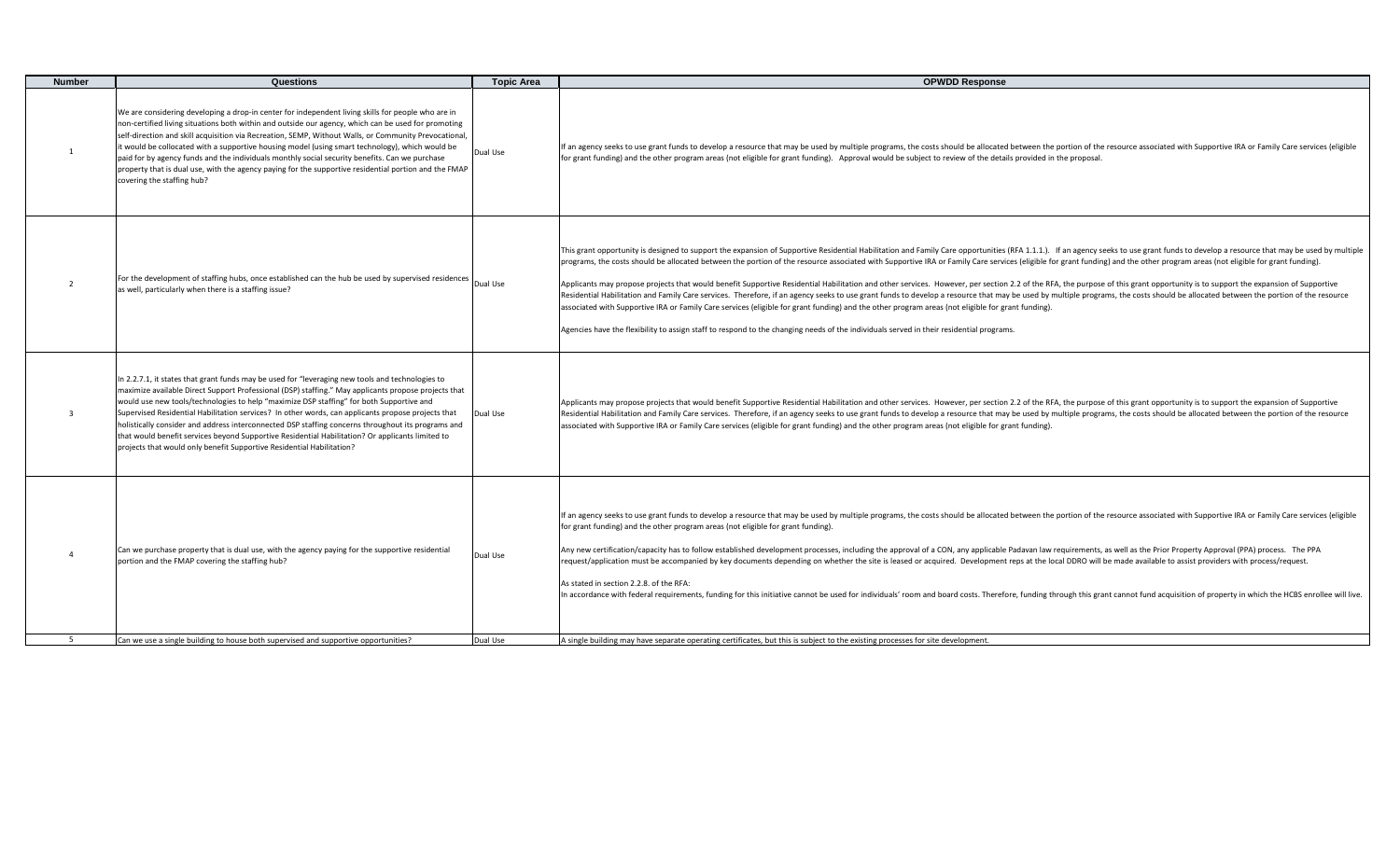| <b>Number</b>  | Questions                                                                                                                                                                                                                                                                                                                                                                                                                                                                                                                                                                                                                                                                                     | <b>Topic Area</b> | <b>OPWDD Response</b>                                                                                                                                                                                                                                                                                                                                                                                                                                                                                                                                                                                                                                                                                                                                                                                                                                                                                                                                                                                                                                                                                                                                                                                                               |
|----------------|-----------------------------------------------------------------------------------------------------------------------------------------------------------------------------------------------------------------------------------------------------------------------------------------------------------------------------------------------------------------------------------------------------------------------------------------------------------------------------------------------------------------------------------------------------------------------------------------------------------------------------------------------------------------------------------------------|-------------------|-------------------------------------------------------------------------------------------------------------------------------------------------------------------------------------------------------------------------------------------------------------------------------------------------------------------------------------------------------------------------------------------------------------------------------------------------------------------------------------------------------------------------------------------------------------------------------------------------------------------------------------------------------------------------------------------------------------------------------------------------------------------------------------------------------------------------------------------------------------------------------------------------------------------------------------------------------------------------------------------------------------------------------------------------------------------------------------------------------------------------------------------------------------------------------------------------------------------------------------|
| $\mathbf{1}$   | We are considering developing a drop-in center for independent living skills for people who are in<br>non-certified living situations both within and outside our agency, which can be used for promoting<br>self-direction and skill acquisition via Recreation, SEMP, Without Walls, or Community Prevocational,<br>it would be collocated with a supportive housing model (using smart technology), which would be<br>paid for by agency funds and the individuals monthly social security benefits. Can we purchase<br>property that is dual use, with the agency paying for the supportive residential portion and the FMAP<br>covering the staffing hub?                                | Dual Use          | If an agency seeks to use grant funds to develop a resource that may be used by multiple programs, the costs should be allocated between the portion of the resource associated with Supportive IRA or Family Care services (e<br>for grant funding) and the other program areas (not eligible for grant funding). Approval would be subject to review of the details provided in the proposal.                                                                                                                                                                                                                                                                                                                                                                                                                                                                                                                                                                                                                                                                                                                                                                                                                                     |
| $\overline{2}$ | For the development of staffing hubs, once established can the hub be used by supervised residences  Dual Use<br>as well, particularly when there is a staffing issue?                                                                                                                                                                                                                                                                                                                                                                                                                                                                                                                        |                   | This grant opportunity is designed to support the expansion of Supportive Residential Habilitation and Family Care opportunities (RFA 1.1.1.). If an agency seeks to use grant funds to develop a resource that may be used by<br>programs, the costs should be allocated between the portion of the resource associated with Supportive IRA or Family Care services (eligible for grant funding) and the other program areas (not eligible for grant funding).<br>Applicants may propose projects that would benefit Supportive Residential Habilitation and other services. However, per section 2.2 of the RFA, the purpose of this grant opportunity is to support the expansion of Supportiv<br>Residential Habilitation and Family Care services. Therefore, if an agency seeks to use grant funds to develop a resource that may be used by multiple programs, the costs should be allocated between the portion of the reso<br>associated with Supportive IRA or Family Care services (eligible for grant funding) and the other program areas (not eligible for grant funding).<br>Agencies have the flexibility to assign staff to respond to the changing needs of the individuals served in their residential programs. |
| $\overline{3}$ | In 2.2.7.1, it states that grant funds may be used for "leveraging new tools and technologies to<br>maximize available Direct Support Professional (DSP) staffing." May applicants propose projects that<br>would use new tools/technologies to help "maximize DSP staffing" for both Supportive and<br>Supervised Residential Habilitation services? In other words, can applicants propose projects that<br>holistically consider and address interconnected DSP staffing concerns throughout its programs and<br>that would benefit services beyond Supportive Residential Habilitation? Or applicants limited to<br>projects that would only benefit Supportive Residential Habilitation? | Dual Use          | Applicants may propose projects that would benefit Supportive Residential Habilitation and other services. However, per section 2.2 of the RFA, the purpose of this grant opportunity is to support the expansion of Supportiv<br>Residential Habilitation and Family Care services. Therefore, if an agency seeks to use grant funds to develop a resource that may be used by multiple programs, the costs should be allocated between the portion of the reso<br>associated with Supportive IRA or Family Care services (eligible for grant funding) and the other program areas (not eligible for grant funding).                                                                                                                                                                                                                                                                                                                                                                                                                                                                                                                                                                                                               |
| $\overline{a}$ | Can we purchase property that is dual use, with the agency paying for the supportive residential<br>portion and the FMAP covering the staffing hub?                                                                                                                                                                                                                                                                                                                                                                                                                                                                                                                                           | Dual Use          | If an agency seeks to use grant funds to develop a resource that may be used by multiple programs, the costs should be allocated between the portion of the resource associated with Supportive IRA or Family Care services (e<br>for grant funding) and the other program areas (not eligible for grant funding).<br>Any new certification/capacity has to follow established development processes, including the approval of a CON, any applicable Padavan law requirements, as well as the Prior Property Approval (PPA) process. The PPA<br>request/application must be accompanied by key documents depending on whether the site is leased or acquired. Development reps at the local DDRO will be made available to assist providers with process/request.<br>As stated in section 2.2.8. of the RFA:<br>In accordance with federal requirements, funding for this initiative cannot be used for individuals' room and board costs. Therefore, funding through this grant cannot fund acquisition of property in which the HCBS enrolle                                                                                                                                                                                     |
| -5.            | Can we use a single building to house both supervised and supportive opportunities?                                                                                                                                                                                                                                                                                                                                                                                                                                                                                                                                                                                                           | Dual Use          | A single building may have separate operating certificates, but this is subject to the existing processes for site development.                                                                                                                                                                                                                                                                                                                                                                                                                                                                                                                                                                                                                                                                                                                                                                                                                                                                                                                                                                                                                                                                                                     |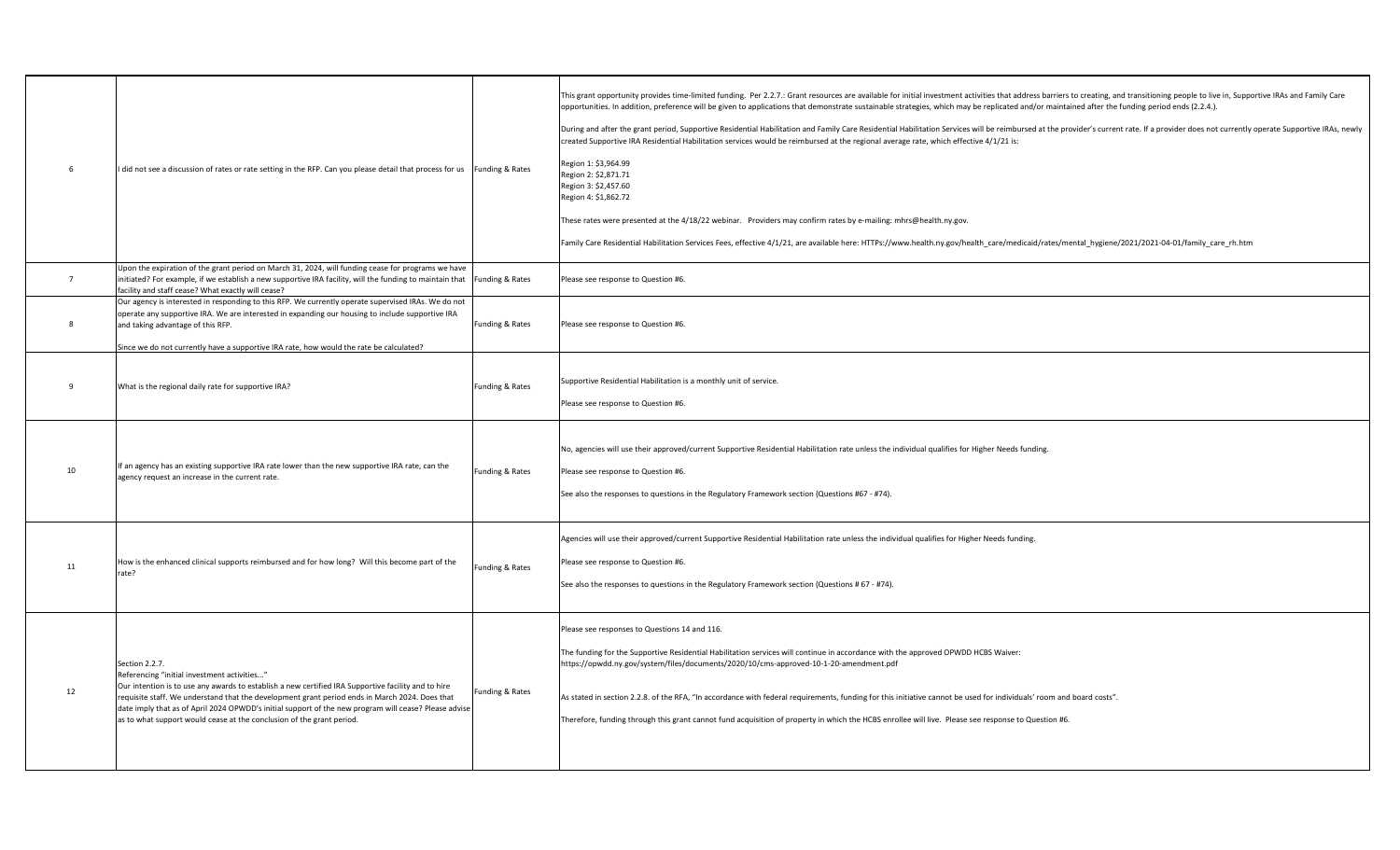| 6            | I did not see a discussion of rates or rate setting in the RFP. Can you please detail that process for us<br>Funding & Rates                                                                                                                                                                                                                                                                                                                                                | This grant opportunity provides time-limited funding. Per 2.2.7.: Grant resources are available for initial investment activities that address barriers to creating, and transitioning people to live in, Supportive IRAs and<br>opportunities. In addition, preference will be given to applications that demonstrate sustainable strategies, which may be replicated and/or maintained after the funding period ends (2.2.4.).<br>During and after the grant period, Supportive Residential Habilitation and Family Care Residential Habilitation Services will be reimbursed at the provider's current rate. If a provider does not currently operate Supportiv<br>created Supportive IRA Residential Habilitation services would be reimbursed at the regional average rate, which effective 4/1/21 is:<br>Region 1: \$3,964.99<br>Region 2: \$2,871.71<br>Region 3: \$2,457.60<br>Region 4: \$1,862.72<br>These rates were presented at the 4/18/22 webinar. Providers may confirm rates by e-mailing: mhrs@health.ny.gov.<br>Family Care Residential Habilitation Services Fees, effective 4/1/21, are available here: HTTPs://www.health.ny.gov/health care/medicaid/rates/mental hygiene/2021/2021-04-01/family care rh.htm |
|--------------|-----------------------------------------------------------------------------------------------------------------------------------------------------------------------------------------------------------------------------------------------------------------------------------------------------------------------------------------------------------------------------------------------------------------------------------------------------------------------------|-------------------------------------------------------------------------------------------------------------------------------------------------------------------------------------------------------------------------------------------------------------------------------------------------------------------------------------------------------------------------------------------------------------------------------------------------------------------------------------------------------------------------------------------------------------------------------------------------------------------------------------------------------------------------------------------------------------------------------------------------------------------------------------------------------------------------------------------------------------------------------------------------------------------------------------------------------------------------------------------------------------------------------------------------------------------------------------------------------------------------------------------------------------------------------------------------------------------------------------|
| $7^{\circ}$  | Upon the expiration of the grant period on March 31, 2024, will funding cease for programs we have<br>initiated? For example, if we establish a new supportive IRA facility, will the funding to maintain that<br>Funding & Rates<br>facility and staff cease? What exactly will cease?                                                                                                                                                                                     | Please see response to Question #6.                                                                                                                                                                                                                                                                                                                                                                                                                                                                                                                                                                                                                                                                                                                                                                                                                                                                                                                                                                                                                                                                                                                                                                                                 |
| $\mathbf{8}$ | Our agency is interested in responding to this RFP. We currently operate supervised IRAs. We do not<br>operate any supportive IRA. We are interested in expanding our housing to include supportive IRA<br>and taking advantage of this RFP.<br>Funding & Rates<br>Since we do not currently have a supportive IRA rate, how would the rate be calculated?                                                                                                                  | Please see response to Question #6.                                                                                                                                                                                                                                                                                                                                                                                                                                                                                                                                                                                                                                                                                                                                                                                                                                                                                                                                                                                                                                                                                                                                                                                                 |
| 9            | What is the regional daily rate for supportive IRA?<br>Funding & Rates                                                                                                                                                                                                                                                                                                                                                                                                      | Supportive Residential Habilitation is a monthly unit of service.<br>Please see response to Question #6.                                                                                                                                                                                                                                                                                                                                                                                                                                                                                                                                                                                                                                                                                                                                                                                                                                                                                                                                                                                                                                                                                                                            |
| 10           | If an agency has an existing supportive IRA rate lower than the new supportive IRA rate, can the<br>Funding & Rates<br>agency request an increase in the current rate.                                                                                                                                                                                                                                                                                                      | No, agencies will use their approved/current Supportive Residential Habilitation rate unless the individual qualifies for Higher Needs funding.<br>Please see response to Question #6.<br>See also the responses to questions in the Regulatory Framework section (Questions #67 - #74).                                                                                                                                                                                                                                                                                                                                                                                                                                                                                                                                                                                                                                                                                                                                                                                                                                                                                                                                            |
| 11           | How is the enhanced clinical supports reimbursed and for how long? Will this become part of the<br>Funding & Rates<br>rate?                                                                                                                                                                                                                                                                                                                                                 | Agencies will use their approved/current Supportive Residential Habilitation rate unless the individual qualifies for Higher Needs funding.<br>Please see response to Question #6.<br>See also the responses to questions in the Regulatory Framework section (Questions # 67 - #74).                                                                                                                                                                                                                                                                                                                                                                                                                                                                                                                                                                                                                                                                                                                                                                                                                                                                                                                                               |
| 12           | Section 2.2.7.<br>Referencing "initial investment activities"<br>Our intention is to use any awards to establish a new certified IRA Supportive facility and to hire<br>Funding & Rates<br>requisite staff. We understand that the development grant period ends in March 2024. Does that<br>date imply that as of April 2024 OPWDD's initial support of the new program will cease? Please advise<br>as to what support would cease at the conclusion of the grant period. | Please see responses to Questions 14 and 116.<br>The funding for the Supportive Residential Habilitation services will continue in accordance with the approved OPWDD HCBS Waiver:<br>https://opwdd.ny.gov/system/files/documents/2020/10/cms-approved-10-1-20-amendment.pdf<br>As stated in section 2.2.8. of the RFA, "In accordance with federal requirements, funding for this initiative cannot be used for individuals' room and board costs".<br>Therefore, funding through this grant cannot fund acquisition of property in which the HCBS enrollee will live. Please see response to Question #6.                                                                                                                                                                                                                                                                                                                                                                                                                                                                                                                                                                                                                         |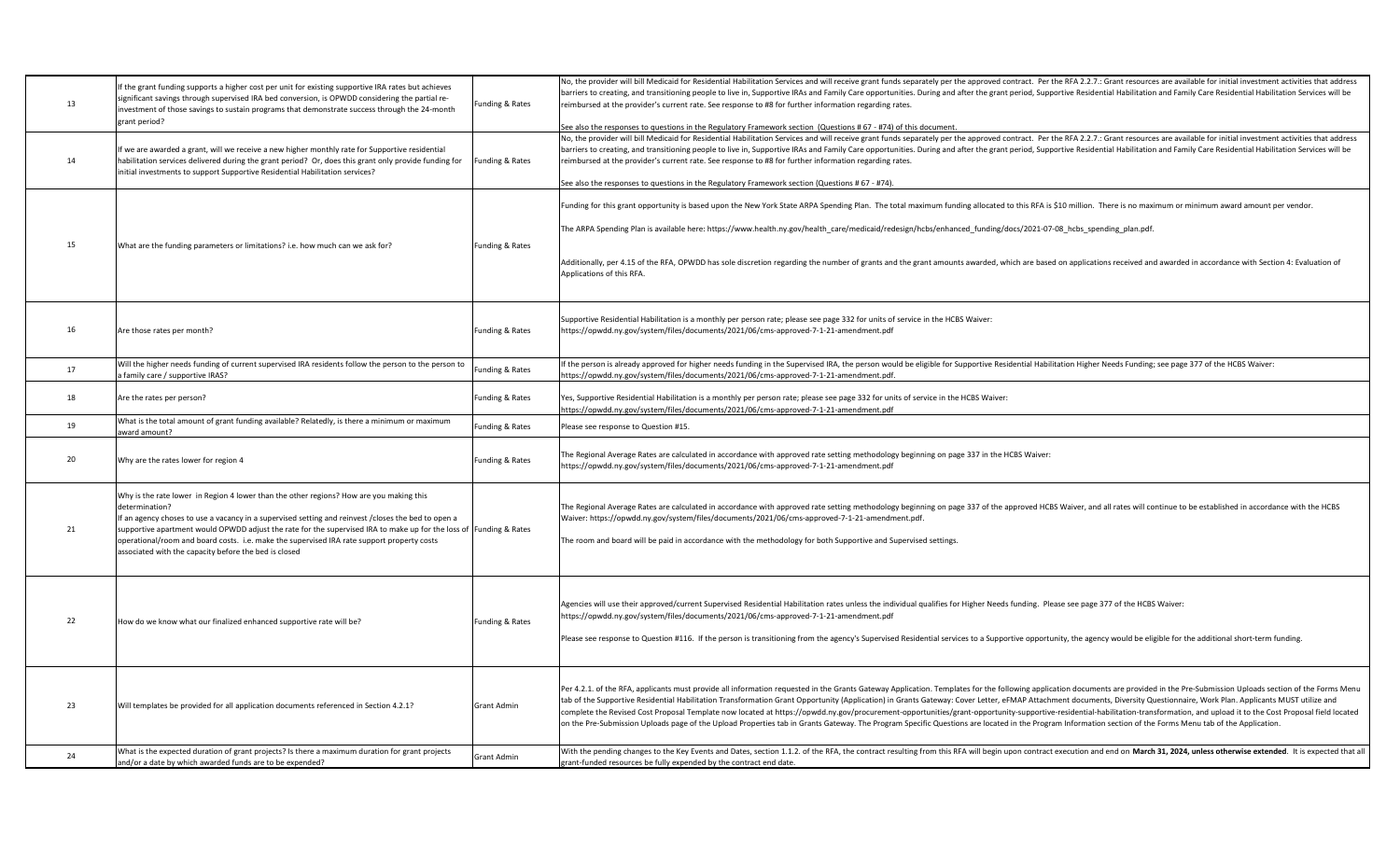| 13 | If the grant funding supports a higher cost per unit for existing supportive IRA rates but achieves<br>significant savings through supervised IRA bed conversion, is OPWDD considering the partial re-<br>investment of those savings to sustain programs that demonstrate success through the 24-month<br>grant period?                                                                                                                                                                      | Funding & Rates | No, the provider will bill Medicaid for Residential Habilitation Services and will receive grant funds separately per the approved contract. Per the RFA 2.2.7.: Grant resources are available for initial investment activiti<br>barriers to creating, and transitioning people to live in, Supportive IRAs and Family Care opportunities. During and after the grant period, Supportive Residential Habilitation and Family Care Residential Habilitation Serv<br>reimbursed at the provider's current rate. See response to #8 for further information regarding rates.<br>See also the responses to questions in the Regulatory Framework section (Questions # 67 - #74) of this document.                                                                                                                                                                                                              |
|----|-----------------------------------------------------------------------------------------------------------------------------------------------------------------------------------------------------------------------------------------------------------------------------------------------------------------------------------------------------------------------------------------------------------------------------------------------------------------------------------------------|-----------------|-------------------------------------------------------------------------------------------------------------------------------------------------------------------------------------------------------------------------------------------------------------------------------------------------------------------------------------------------------------------------------------------------------------------------------------------------------------------------------------------------------------------------------------------------------------------------------------------------------------------------------------------------------------------------------------------------------------------------------------------------------------------------------------------------------------------------------------------------------------------------------------------------------------|
| 14 | If we are awarded a grant, will we receive a new higher monthly rate for Supportive residential<br>habilitation services delivered during the grant period? Or, does this grant only provide funding for<br>initial investments to support Supportive Residential Habilitation services?                                                                                                                                                                                                      | Funding & Rates | No, the provider will bill Medicaid for Residential Habilitation Services and will receive grant funds separately per the approved contract. Per the RFA 2.2.7.: Grant resources are available for initial investment activiti<br>barriers to creating, and transitioning people to live in, Supportive IRAs and Family Care opportunities. During and after the grant period, Supportive Residential Habilitation and Family Care Residential Habilitation Serv<br>reimbursed at the provider's current rate. See response to #8 for further information regarding rates.<br>See also the responses to questions in the Regulatory Framework section (Questions # 67 - #74).                                                                                                                                                                                                                               |
| 15 | What are the funding parameters or limitations? i.e. how much can we ask for?                                                                                                                                                                                                                                                                                                                                                                                                                 | Funding & Rates | Funding for this grant opportunity is based upon the New York State ARPA Spending Plan. The total maximum funding allocated to this RFA is \$10 million. There is no maximum or minimum award amount per vendor.<br>The ARPA Spending Plan is available here: https://www.health.ny.gov/health care/medicaid/redesign/hcbs/enhanced funding/docs/2021-07-08 hcbs spending plan.pdf.<br>Additionally, per 4.15 of the RFA, OPWDD has sole discretion regarding the number of grants and the grant amounts awarded, which are based on applications received and awarded in accordance with Section 4: Evaluation of<br>Applications of this RFA.                                                                                                                                                                                                                                                             |
| 16 | Are those rates per month?                                                                                                                                                                                                                                                                                                                                                                                                                                                                    | Funding & Rates | Supportive Residential Habilitation is a monthly per person rate; please see page 332 for units of service in the HCBS Waiver:<br>https://opwdd.ny.gov/system/files/documents/2021/06/cms-approved-7-1-21-amendment.pdf                                                                                                                                                                                                                                                                                                                                                                                                                                                                                                                                                                                                                                                                                     |
| 17 | Will the higher needs funding of current supervised IRA residents follow the person to the person to<br>family care / supportive IRAS?                                                                                                                                                                                                                                                                                                                                                        | Funding & Rates | If the person is already approved for higher needs funding in the Supervised IRA, the person would be eligible for Supportive Residential Habilitation Higher Needs Funding; see page 377 of the HCBS Waiver:<br>https://opwdd.ny.gov/system/files/documents/2021/06/cms-approved-7-1-21-amendment.pdf.                                                                                                                                                                                                                                                                                                                                                                                                                                                                                                                                                                                                     |
| 18 | Are the rates per person?                                                                                                                                                                                                                                                                                                                                                                                                                                                                     | Funding & Rates | Yes, Supportive Residential Habilitation is a monthly per person rate; please see page 332 for units of service in the HCBS Waiver:<br>https://opwdd.ny.gov/system/files/documents/2021/06/cms-approved-7-1-21-amendment.pdf                                                                                                                                                                                                                                                                                                                                                                                                                                                                                                                                                                                                                                                                                |
| 19 | What is the total amount of grant funding available? Relatedly, is there a minimum or maximum<br>award amount?                                                                                                                                                                                                                                                                                                                                                                                | Funding & Rates | Please see response to Question #15.                                                                                                                                                                                                                                                                                                                                                                                                                                                                                                                                                                                                                                                                                                                                                                                                                                                                        |
| 20 | Why are the rates lower for region 4                                                                                                                                                                                                                                                                                                                                                                                                                                                          | Funding & Rates | The Regional Average Rates are calculated in accordance with approved rate setting methodology beginning on page 337 in the HCBS Waiver:<br>https://opwdd.ny.gov/system/files/documents/2021/06/cms-approved-7-1-21-amendment.pdf                                                                                                                                                                                                                                                                                                                                                                                                                                                                                                                                                                                                                                                                           |
| 21 | Why is the rate lower in Region 4 lower than the other regions? How are you making this<br>determination?<br>If an agency choses to use a vacancy in a supervised setting and reinvest /closes the bed to open a<br>supportive apartment would OPWDD adjust the rate for the supervised IRA to make up for the loss of Funding & Rates<br>operational/room and board costs. i.e. make the supervised IRA rate support property costs<br>associated with the capacity before the bed is closed |                 | The Regional Average Rates are calculated in accordance with approved rate setting methodology beginning on page 337 of the approved HCBS Waiver, and all rates will continue to be established in accordance with the HCBS<br>Waiver: https://opwdd.ny.gov/system/files/documents/2021/06/cms-approved-7-1-21-amendment.pdf.<br>The room and board will be paid in accordance with the methodology for both Supportive and Supervised settings.                                                                                                                                                                                                                                                                                                                                                                                                                                                            |
| 22 | How do we know what our finalized enhanced supportive rate will be?                                                                                                                                                                                                                                                                                                                                                                                                                           | Funding & Rates | Agencies will use their approved/current Supervised Residential Habilitation rates unless the individual qualifies for Higher Needs funding. Please see page 377 of the HCBS Waiver:<br>https://opwdd.ny.gov/system/files/documents/2021/06/cms-approved-7-1-21-amendment.pdf<br>Please see response to Question #116. If the person is transitioning from the agency's Supervised Residential services to a Supportive opportunity, the agency would be eligible for the additional short-term funding.                                                                                                                                                                                                                                                                                                                                                                                                    |
| 23 | Will templates be provided for all application documents referenced in Section 4.2.1?                                                                                                                                                                                                                                                                                                                                                                                                         | Grant Admin     | Per 4.2.1. of the RFA, applicants must provide all information requested in the Grants Gateway Application. Templates for the following application documents are provided in the Pre-Submission Uploads section of the Forms<br>tab of the Supportive Residential Habilitation Transformation Grant Opportunity (Application) in Grants Gateway: Cover Letter, eFMAP Attachment documents, Diversity Questionnaire, Work Plan. Applicants MUST utilize and<br>complete the Revised Cost Proposal Template now located at https://opwdd.ny.gov/procurement-opportunities/grant-opportunity-supportive-residential-habilitation-transformation, and upload it to the Cost Proposal field locat<br>on the Pre-Submission Uploads page of the Upload Properties tab in Grants Gateway. The Program Specific Questions are located in the Program Information section of the Forms Menu tab of the Application. |
| 24 | What is the expected duration of grant projects? Is there a maximum duration for grant projects<br>and/or a date by which awarded funds are to be expended?                                                                                                                                                                                                                                                                                                                                   | Grant Admin     | With the pending changes to the Key Events and Dates, section 1.1.2. of the RFA, the contract resulting from this RFA will begin upon contract execution and end on March 31, 2024, unless otherwise extended. It is expected<br>grant-funded resources be fully expended by the contract end date.                                                                                                                                                                                                                                                                                                                                                                                                                                                                                                                                                                                                         |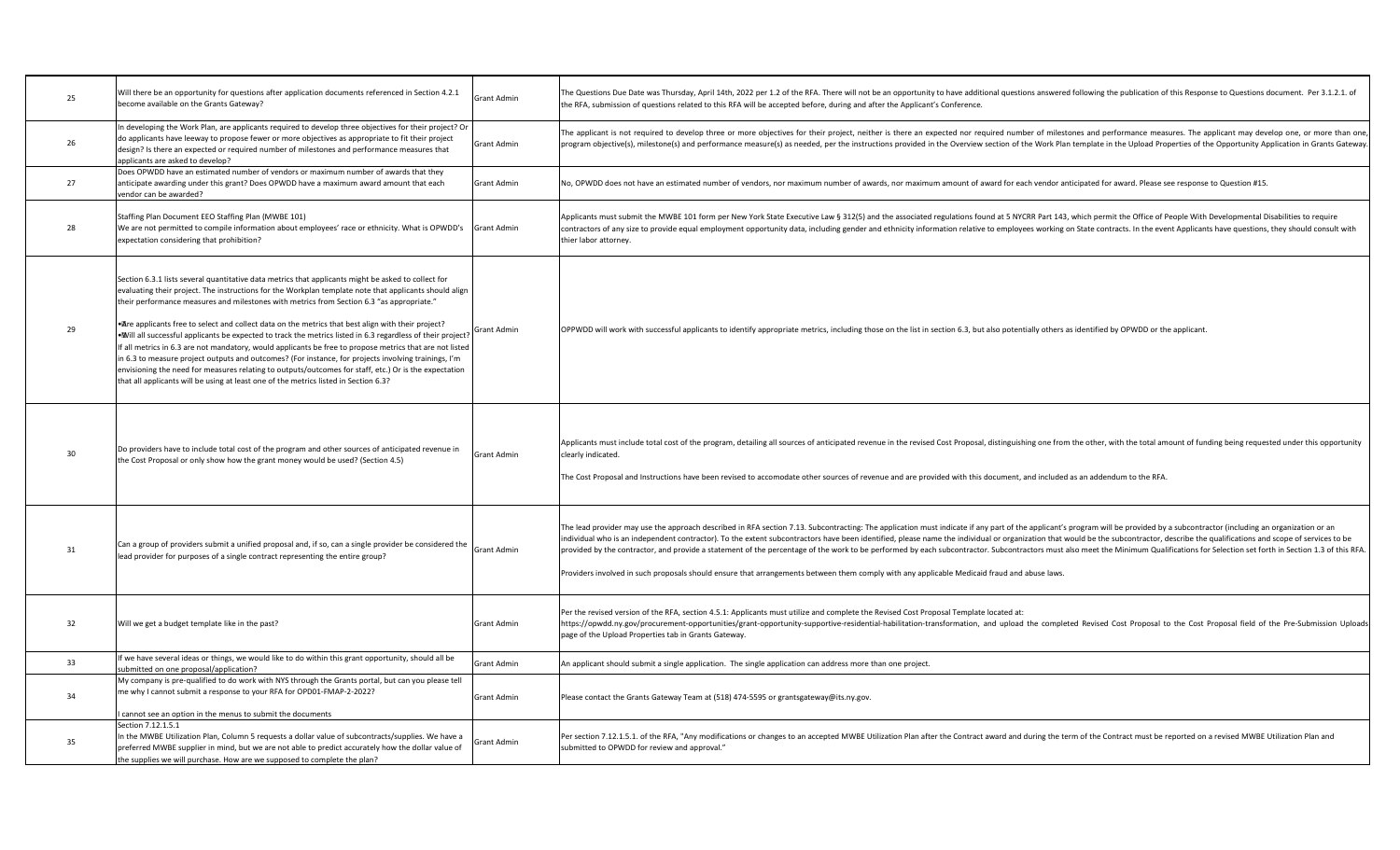| 25 | Will there be an opportunity for questions after application documents referenced in Section 4.2.1<br>become available on the Grants Gateway?                                                                                                                                                                                                                                                                                                                                                                                                                                                                                                                                                                                                                                                                                                                                                                                                          | Grant Admin | The Questions Due Date was Thursday, April 14th, 2022 per 1.2 of the RFA. There will not be an opportunity to have additional questions answered following the publication of this Response to Questions document. Per 3.1.2.1<br>the RFA, submission of questions related to this RFA will be accepted before, during and after the Applicant's Conference.                                                                                                                                                                                                                                                                                                                                                                                                                                                                                      |
|----|--------------------------------------------------------------------------------------------------------------------------------------------------------------------------------------------------------------------------------------------------------------------------------------------------------------------------------------------------------------------------------------------------------------------------------------------------------------------------------------------------------------------------------------------------------------------------------------------------------------------------------------------------------------------------------------------------------------------------------------------------------------------------------------------------------------------------------------------------------------------------------------------------------------------------------------------------------|-------------|---------------------------------------------------------------------------------------------------------------------------------------------------------------------------------------------------------------------------------------------------------------------------------------------------------------------------------------------------------------------------------------------------------------------------------------------------------------------------------------------------------------------------------------------------------------------------------------------------------------------------------------------------------------------------------------------------------------------------------------------------------------------------------------------------------------------------------------------------|
| 26 | In developing the Work Plan, are applicants required to develop three objectives for their project? Or<br>do applicants have leeway to propose fewer or more objectives as appropriate to fit their project<br>design? Is there an expected or required number of milestones and performance measures that<br>applicants are asked to develop?                                                                                                                                                                                                                                                                                                                                                                                                                                                                                                                                                                                                         | Grant Admin | The applicant is not required to develop three or more objectives for their project, neither is there an expected nor required number of milestones and performance measures. The applicant may develop one, or more than one,<br>program objective(s), milestone(s) and performance measure(s) as needed, per the instructions provided in the Overview section of the Work Plan template in the Upload Properties of the Opportunity Application in Grants Gat                                                                                                                                                                                                                                                                                                                                                                                  |
| 27 | Does OPWDD have an estimated number of vendors or maximum number of awards that they<br>anticipate awarding under this grant? Does OPWDD have a maximum award amount that each<br>vendor can be awarded?                                                                                                                                                                                                                                                                                                                                                                                                                                                                                                                                                                                                                                                                                                                                               | Grant Admin | No, OPWDD does not have an estimated number of vendors, nor maximum number of awards, nor maximum amount of award for each vendor anticipated for award. Please see response to Question #15.                                                                                                                                                                                                                                                                                                                                                                                                                                                                                                                                                                                                                                                     |
| 28 | Staffing Plan Document EEO Staffing Plan (MWBE 101)<br>We are not permitted to compile information about employees' race or ethnicity. What is OPWDD's<br>expectation considering that prohibition?                                                                                                                                                                                                                                                                                                                                                                                                                                                                                                                                                                                                                                                                                                                                                    | Grant Admin | Applicants must submit the MWBE 101 form per New York State Executive Law § 312(5) and the associated regulations found at 5 NYCRR Part 143, which permit the Office of People With Developmental Disabilities to require<br>contractors of any size to provide equal employment opportunity data, including gender and ethnicity information relative to employees working on State contracts. In the event Applicants have questions, they should consult<br>thier labor attorney.                                                                                                                                                                                                                                                                                                                                                              |
| 29 | Section 6.3.1 lists several quantitative data metrics that applicants might be asked to collect for<br>evaluating their project. The instructions for the Workplan template note that applicants should align<br>their performance measures and milestones with metrics from Section 6.3 "as appropriate."<br>• Are applicants free to select and collect data on the metrics that best align with their project?<br>• Will all successful applicants be expected to track the metrics listed in 6.3 regardless of their project?<br>If all metrics in 6.3 are not mandatory, would applicants be free to propose metrics that are not listed<br>in 6.3 to measure project outputs and outcomes? (For instance, for projects involving trainings, I'm<br>envisioning the need for measures relating to outputs/outcomes for staff, etc.) Or is the expectation<br>that all applicants will be using at least one of the metrics listed in Section 6.3? | Grant Admin | OPPWDD will work with successful applicants to identify appropriate metrics, including those on the list in section 6.3, but also potentially others as identified by OPWDD or the applicant.                                                                                                                                                                                                                                                                                                                                                                                                                                                                                                                                                                                                                                                     |
| 30 | Do providers have to include total cost of the program and other sources of anticipated revenue in<br>the Cost Proposal or only show how the grant money would be used? (Section 4.5)                                                                                                                                                                                                                                                                                                                                                                                                                                                                                                                                                                                                                                                                                                                                                                  | Grant Admin | Applicants must include total cost of the program, detailing all sources of anticipated revenue in the revised Cost Proposal, distinguishing one from the other, with the total amount of funding being requested under this o<br>clearly indicated.<br>The Cost Proposal and Instructions have been revised to accomodate other sources of revenue and are provided with this document, and included as an addendum to the RFA.                                                                                                                                                                                                                                                                                                                                                                                                                  |
| 31 | Can a group of providers submit a unified proposal and, if so, can a single provider be considered the<br>lead provider for purposes of a single contract representing the entire group?                                                                                                                                                                                                                                                                                                                                                                                                                                                                                                                                                                                                                                                                                                                                                               | Grant Admin | The lead provider may use the approach described in RFA section 7.13. Subcontracting: The application must indicate if any part of the applicant's program will be provided by a subcontractor (including an organization or a<br>individual who is an independent contractor). To the extent subcontractors have been identified, please name the individual or organization that would be the subcontractor, describe the qualifications and scope of services<br>provided by the contractor, and provide a statement of the percentage of the work to be performed by each subcontractor. Subcontractors must also meet the Minimum Qualifications for Selection set forth in Section 1.3 of th<br>Providers involved in such proposals should ensure that arrangements between them comply with any applicable Medicaid fraud and abuse laws. |
| 32 | Will we get a budget template like in the past?                                                                                                                                                                                                                                                                                                                                                                                                                                                                                                                                                                                                                                                                                                                                                                                                                                                                                                        | Grant Admin | Per the revised version of the RFA, section 4.5.1: Applicants must utilize and complete the Revised Cost Proposal Template located at:<br>https://opwdd.ny.gov/procurement-opportunities/grant-opportunity-supportive-residential-habilitation-transformation, and upload the completed Revised Cost Proposal to the Cost Proposal field of the Pre-Submission Uploads<br>page of the Upload Properties tab in Grants Gateway.                                                                                                                                                                                                                                                                                                                                                                                                                    |
| 33 | If we have several ideas or things, we would like to do within this grant opportunity, should all be<br>submitted on one proposal/application?                                                                                                                                                                                                                                                                                                                                                                                                                                                                                                                                                                                                                                                                                                                                                                                                         | Grant Admin | An applicant should submit a single application. The single application can address more than one project.                                                                                                                                                                                                                                                                                                                                                                                                                                                                                                                                                                                                                                                                                                                                        |
| 34 | My company is pre-qualified to do work with NYS through the Grants portal, but can you please tell<br>me why I cannot submit a response to your RFA for OPD01-FMAP-2-2022?<br>cannot see an option in the menus to submit the documents                                                                                                                                                                                                                                                                                                                                                                                                                                                                                                                                                                                                                                                                                                                | Grant Admin | Please contact the Grants Gateway Team at (518) 474-5595 or grantsgateway@its.ny.gov.                                                                                                                                                                                                                                                                                                                                                                                                                                                                                                                                                                                                                                                                                                                                                             |
| 35 | Section 7.12.1.5.1<br>In the MWBE Utilization Plan, Column 5 requests a dollar value of subcontracts/supplies. We have a<br>preferred MWBE supplier in mind, but we are not able to predict accurately how the dollar value of<br>the supplies we will purchase. How are we supposed to complete the plan?                                                                                                                                                                                                                                                                                                                                                                                                                                                                                                                                                                                                                                             | Grant Admin | Per section 7.12.1.5.1. of the RFA, "Any modifications or changes to an accepted MWBE Utilization Plan after the Contract award and during the term of the Contract must be reported on a revised MWBE Utilization Plan and<br>submitted to OPWDD for review and approval."                                                                                                                                                                                                                                                                                                                                                                                                                                                                                                                                                                       |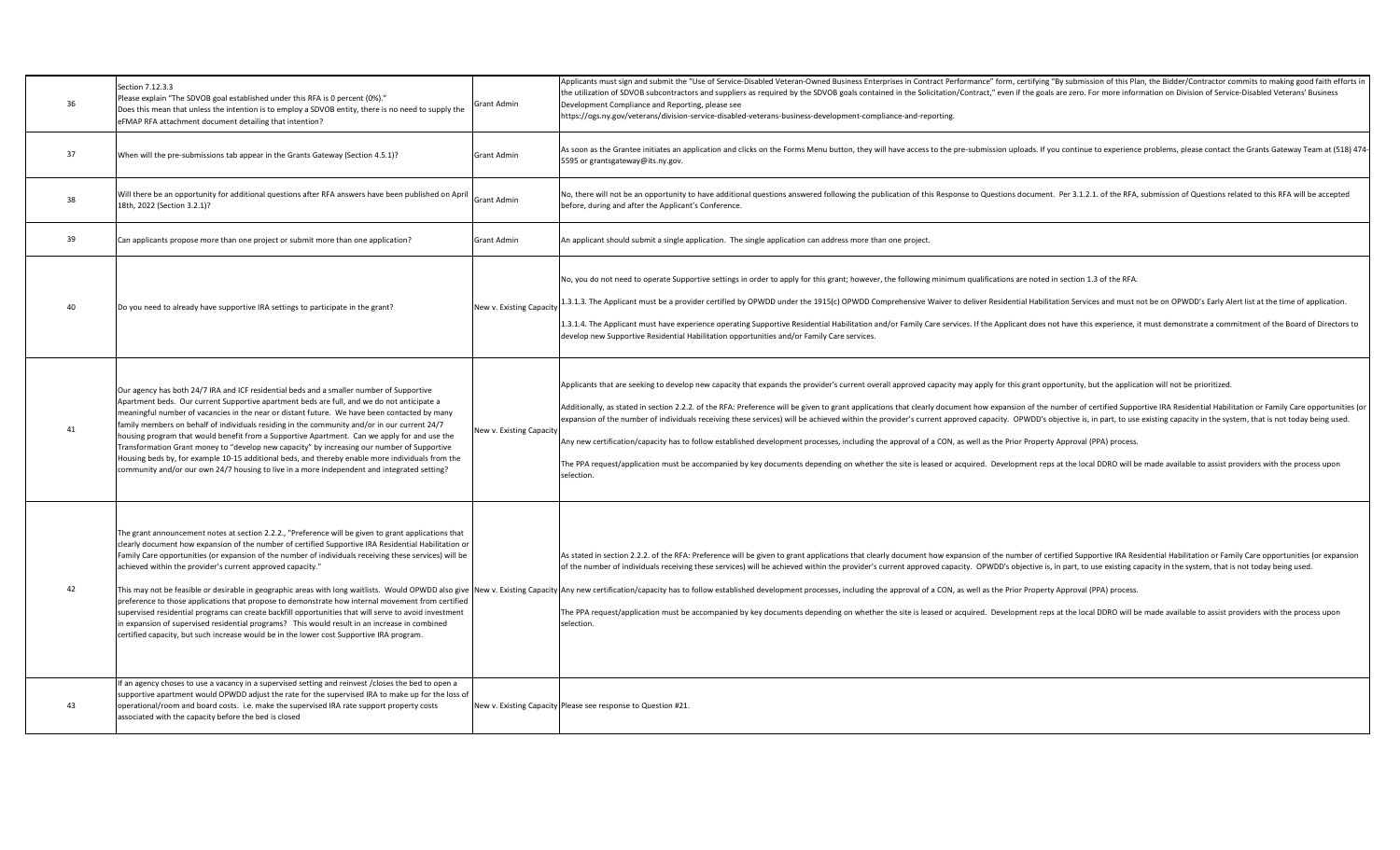| 36 | Section 7.12.3.3<br>Please explain "The SDVOB goal established under this RFA is 0 percent (0%)."<br>Does this mean that unless the intention is to employ a SDVOB entity, there is no need to supply the<br>eFMAP RFA attachment document detailing that intention?                                                                                                                                                                                                                                                                                                                                                                                                                                                                                                                            | Grant Admin              | Applicants must sign and submit the "Use of Service-Disabled Veteran-Owned Business Enterprises in Contract Performance" form, certifying "By submission of this Plan, the Bidder/Contractor commits to making good faith effo<br>the utilization of SDVOB subcontractors and suppliers as required by the SDVOB goals contained in the Solicitation/Contract," even if the goals are zero. For more information on Division of Service-Disabled Veterans' Busin<br>Development Compliance and Reporting, please see<br>https://ogs.ny.gov/veterans/division-service-disabled-veterans-business-development-compliance-and-reporting.                                                                                                                                                                                                                                                                                                                                                                                                                                                         |
|----|-------------------------------------------------------------------------------------------------------------------------------------------------------------------------------------------------------------------------------------------------------------------------------------------------------------------------------------------------------------------------------------------------------------------------------------------------------------------------------------------------------------------------------------------------------------------------------------------------------------------------------------------------------------------------------------------------------------------------------------------------------------------------------------------------|--------------------------|-----------------------------------------------------------------------------------------------------------------------------------------------------------------------------------------------------------------------------------------------------------------------------------------------------------------------------------------------------------------------------------------------------------------------------------------------------------------------------------------------------------------------------------------------------------------------------------------------------------------------------------------------------------------------------------------------------------------------------------------------------------------------------------------------------------------------------------------------------------------------------------------------------------------------------------------------------------------------------------------------------------------------------------------------------------------------------------------------|
| 37 | When will the pre-submissions tab appear in the Grants Gateway (Section 4.5.1)?                                                                                                                                                                                                                                                                                                                                                                                                                                                                                                                                                                                                                                                                                                                 | Grant Admin              | As soon as the Grantee initiates an application and clicks on the Forms Menu button, they will have access to the pre-submission uploads. If you continue to experience problems, please contact the Grants Gateway Team at (5<br>5595 or grantsgateway@its.ny.gov.                                                                                                                                                                                                                                                                                                                                                                                                                                                                                                                                                                                                                                                                                                                                                                                                                           |
| 38 | Will there be an opportunity for additional questions after RFA answers have been published on April<br>18th, 2022 (Section 3.2.1)?                                                                                                                                                                                                                                                                                                                                                                                                                                                                                                                                                                                                                                                             | Grant Admin              | No, there will not be an opportunity to have additional questions answered following the publication of this Response to Questions document. Per 3.1.2.1. of the RFA, submission of Questions related to this RFA will be acce<br>before, during and after the Applicant's Conference.                                                                                                                                                                                                                                                                                                                                                                                                                                                                                                                                                                                                                                                                                                                                                                                                        |
| 39 | Can applicants propose more than one project or submit more than one application?                                                                                                                                                                                                                                                                                                                                                                                                                                                                                                                                                                                                                                                                                                               | Grant Admin              | An applicant should submit a single application. The single application can address more than one project.                                                                                                                                                                                                                                                                                                                                                                                                                                                                                                                                                                                                                                                                                                                                                                                                                                                                                                                                                                                    |
| 40 | Do you need to already have supportive IRA settings to participate in the grant?                                                                                                                                                                                                                                                                                                                                                                                                                                                                                                                                                                                                                                                                                                                | New v. Existing Capacity | No, you do not need to operate Supportive settings in order to apply for this grant; however, the following minimum qualifications are noted in section 1.3 of the RFA.<br>1.3.1.3. The Applicant must be a provider certified by OPWDD under the 1915(c) OPWDD Comprehensive Waiver to deliver Residential Habilitation Services and must not be on OPWDD's Early Alert list at the time of application.<br>1.3.1.4. The Applicant must have experience operating Supportive Residential Habilitation and/or Family Care services. If the Applicant does not have this experience, it must demonstrate a commitment of the Board of Direct<br>develop new Supportive Residential Habilitation opportunities and/or Family Care services.                                                                                                                                                                                                                                                                                                                                                     |
| 41 | Our agency has both 24/7 IRA and ICF residential beds and a smaller number of Supportive<br>Apartment beds. Our current Supportive apartment beds are full, and we do not anticipate a<br>meaningful number of vacancies in the near or distant future. We have been contacted by many<br>family members on behalf of individuals residing in the community and/or in our current 24/7<br>housing program that would benefit from a Supportive Apartment. Can we apply for and use the<br>Transformation Grant money to "develop new capacity" by increasing our number of Supportive<br>Housing beds by, for example 10-15 additional beds, and thereby enable more individuals from the<br>community and/or our own 24/7 housing to live in a more independent and integrated setting?        | New v. Existing Capacity | Applicants that are seeking to develop new capacity that expands the provider's current overall approved capacity may apply for this grant opportunity, but the application will not be prioritized.<br>Additionally, as stated in section 2.2.2. of the RFA: Preference will be given to grant applications that clearly document how expansion of the number of certified Supportive IRA Residential Habilitation or Family Care opp<br>expansion of the number of individuals receiving these services) will be achieved within the provider's current approved capacity. OPWDD's objective is, in part, to use existing capacity in the system, that is not today be<br>Any new certification/capacity has to follow established development processes, including the approval of a CON, as well as the Prior Property Approval (PPA) process.<br>The PPA request/application must be accompanied by key documents depending on whether the site is leased or acquired. Development reps at the local DDRO will be made available to assist providers with the process upon<br>selection. |
| 42 | The grant announcement notes at section 2.2.2., "Preference will be given to grant applications that<br>clearly document how expansion of the number of certified Supportive IRA Residential Habilitation or<br>Family Care opportunities (or expansion of the number of individuals receiving these services) will be<br>achieved within the provider's current approved capacity."<br>preference to those applications that propose to demonstrate how internal movement from certified<br>supervised residential programs can create backfill opportunities that will serve to avoid investment<br>in expansion of supervised residential programs? This would result in an increase in combined<br>certified capacity, but such increase would be in the lower cost Supportive IRA program. |                          | As stated in section 2.2.2. of the RFA: Preference will be given to grant applications that clearly document how expansion of the number of certified Supportive IRA Residential Habilitation or Family Care opportunities (or<br>of the number of individuals receiving these services) will be achieved within the provider's current approved capacity. OPWDD's objective is, in part, to use existing capacity in the system, that is not today being used.<br>This may not be feasible or desirable in geographic areas with long waitlists. Would OPWDD also give New v. Existing Capacity Any new certification/capacity has to follow established development processes, including the ap<br>The PPA request/application must be accompanied by key documents depending on whether the site is leased or acquired. Development reps at the local DDRO will be made available to assist providers with the process upon<br>selection.                                                                                                                                                  |
| 43 | If an agency choses to use a vacancy in a supervised setting and reinvest /closes the bed to open a<br>supportive apartment would OPWDD adjust the rate for the supervised IRA to make up for the loss of<br>operational/room and board costs. i.e. make the supervised IRA rate support property costs<br>associated with the capacity before the bed is closed                                                                                                                                                                                                                                                                                                                                                                                                                                |                          | New v. Existing Capacity Please see response to Question #21.                                                                                                                                                                                                                                                                                                                                                                                                                                                                                                                                                                                                                                                                                                                                                                                                                                                                                                                                                                                                                                 |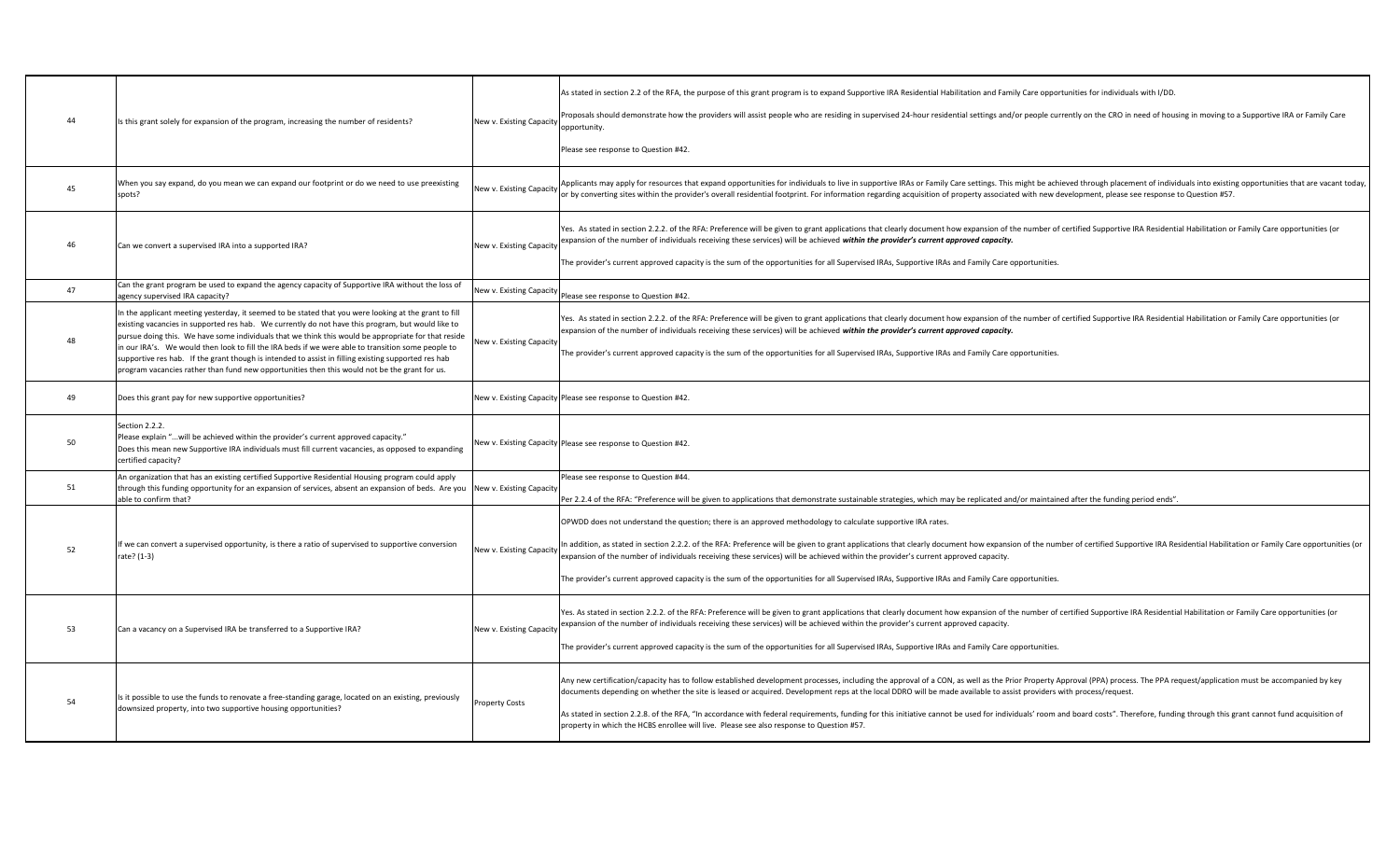| 44 | Is this grant solely for expansion of the program, increasing the number of residents?                                                                                                                                                                                                                                                                                                                                                                                                                                                                                                                                          | New v. Existing Capacity | As stated in section 2.2 of the RFA, the purpose of this grant program is to expand Supportive IRA Residential Habilitation and Family Care opportunities for individuals with I/DD.<br>Proposals should demonstrate how the providers will assist people who are residing in supervised 24-hour residential settings and/or people currently on the CRO in need of housing in moving to a Supportive IRA or Family Ca<br>opportunity.<br>Please see response to Question #42.                                                                                                                                                                                                                                                    |
|----|---------------------------------------------------------------------------------------------------------------------------------------------------------------------------------------------------------------------------------------------------------------------------------------------------------------------------------------------------------------------------------------------------------------------------------------------------------------------------------------------------------------------------------------------------------------------------------------------------------------------------------|--------------------------|-----------------------------------------------------------------------------------------------------------------------------------------------------------------------------------------------------------------------------------------------------------------------------------------------------------------------------------------------------------------------------------------------------------------------------------------------------------------------------------------------------------------------------------------------------------------------------------------------------------------------------------------------------------------------------------------------------------------------------------|
| 45 | When you say expand, do you mean we can expand our footprint or do we need to use preexisting<br>spots?                                                                                                                                                                                                                                                                                                                                                                                                                                                                                                                         | New v. Existing Capacity | Applicants may apply for resources that expand opportunities for individuals to live in supportive IRAs or Family Care settings. This might be achieved through placement of individuals into existing opportunities that are<br>or by converting sites within the provider's overall residential footprint. For information regarding acquisition of property associated with new development, please see response to Question #57.                                                                                                                                                                                                                                                                                              |
| 46 | Can we convert a supervised IRA into a supported IRA?                                                                                                                                                                                                                                                                                                                                                                                                                                                                                                                                                                           | New v. Existing Capacity | Yes. As stated in section 2.2.2. of the RFA: Preference will be given to grant applications that clearly document how expansion of the number of certified Supportive IRA Residential Habilitation or Family Care opportunitie<br>expansion of the number of individuals receiving these services) will be achieved within the provider's current approved capacity.<br>The provider's current approved capacity is the sum of the opportunities for all Supervised IRAs, Supportive IRAs and Family Care opportunities.                                                                                                                                                                                                          |
| 47 | Can the grant program be used to expand the agency capacity of Supportive IRA without the loss of<br>agency supervised IRA capacity?                                                                                                                                                                                                                                                                                                                                                                                                                                                                                            | New v. Existing Capacity | Please see response to Question #42.                                                                                                                                                                                                                                                                                                                                                                                                                                                                                                                                                                                                                                                                                              |
| 48 | In the applicant meeting yesterday, it seemed to be stated that you were looking at the grant to fill<br>existing vacancies in supported res hab. We currently do not have this program, but would like to<br>pursue doing this. We have some individuals that we think this would be appropriate for that reside<br>in our IRA's. We would then look to fill the IRA beds if we were able to transition some people to<br>supportive res hab. If the grant though is intended to assist in filling existing supported res hab<br>program vacancies rather than fund new opportunities then this would not be the grant for us. | New v. Existing Capacity | Yes. As stated in section 2.2.2. of the RFA: Preference will be given to grant applications that clearly document how expansion of the number of certified Supportive IRA Residential Habilitation or Family Care opportunitie<br>expansion of the number of individuals receiving these services) will be achieved within the provider's current approved capacity.<br>The provider's current approved capacity is the sum of the opportunities for all Supervised IRAs, Supportive IRAs and Family Care opportunities.                                                                                                                                                                                                          |
| 49 | Does this grant pay for new supportive opportunities?                                                                                                                                                                                                                                                                                                                                                                                                                                                                                                                                                                           |                          | New v. Existing Capacity Please see response to Question #42.                                                                                                                                                                                                                                                                                                                                                                                                                                                                                                                                                                                                                                                                     |
| 50 | Section 2.2.2.<br>Please explain "will be achieved within the provider's current approved capacity."<br>Does this mean new Supportive IRA individuals must fill current vacancies, as opposed to expanding<br>certified capacity?                                                                                                                                                                                                                                                                                                                                                                                               |                          | New v. Existing Capacity Please see response to Question #42.                                                                                                                                                                                                                                                                                                                                                                                                                                                                                                                                                                                                                                                                     |
| 51 | An organization that has an existing certified Supportive Residential Housing program could apply<br>through this funding opportunity for an expansion of services, absent an expansion of beds. Are you<br>able to confirm that?                                                                                                                                                                                                                                                                                                                                                                                               | New v. Existing Capacity | Please see response to Question #44.<br>Per 2.2.4 of the RFA: "Preference will be given to applications that demonstrate sustainable strategies, which may be replicated and/or maintained after the funding period ends".                                                                                                                                                                                                                                                                                                                                                                                                                                                                                                        |
| 52 | If we can convert a supervised opportunity, is there a ratio of supervised to supportive conversion<br>rate? (1-3)                                                                                                                                                                                                                                                                                                                                                                                                                                                                                                              | New v. Existing Capacity | OPWDD does not understand the question; there is an approved methodology to calculate supportive IRA rates.<br>In addition, as stated in section 2.2.2. of the RFA: Preference will be given to grant applications that clearly document how expansion of the number of certified Supportive IRA Residential Habilitation or Family Care oppo<br>expansion of the number of individuals receiving these services) will be achieved within the provider's current approved capacity.<br>The provider's current approved capacity is the sum of the opportunities for all Supervised IRAs, Supportive IRAs and Family Care opportunities.                                                                                           |
| 53 | Can a vacancy on a Supervised IRA be transferred to a Supportive IRA?                                                                                                                                                                                                                                                                                                                                                                                                                                                                                                                                                           | New v. Existing Capacity | Yes. As stated in section 2.2.2. of the RFA: Preference will be given to grant applications that clearly document how expansion of the number of certified Supportive IRA Residential Habilitation or Family Care opportunitie<br>expansion of the number of individuals receiving these services) will be achieved within the provider's current approved capacity.<br>The provider's current approved capacity is the sum of the opportunities for all Supervised IRAs, Supportive IRAs and Family Care opportunities.                                                                                                                                                                                                          |
| 54 | Is it possible to use the funds to renovate a free-standing garage, located on an existing, previously<br>downsized property, into two supportive housing opportunities?                                                                                                                                                                                                                                                                                                                                                                                                                                                        | Property Costs           | Any new certification/capacity has to follow established development processes, including the approval of a CON, as well as the Prior Property Approval (PPA) process. The PPA request/application must be accompanied by key<br>documents depending on whether the site is leased or acquired. Development reps at the local DDRO will be made available to assist providers with process/request.<br>As stated in section 2.2.8. of the RFA, "In accordance with federal requirements, funding for this initiative cannot be used for individuals' room and board costs". Therefore, funding through this grant cannot fund acquisi<br>property in which the HCBS enrollee will live. Please see also response to Question #57. |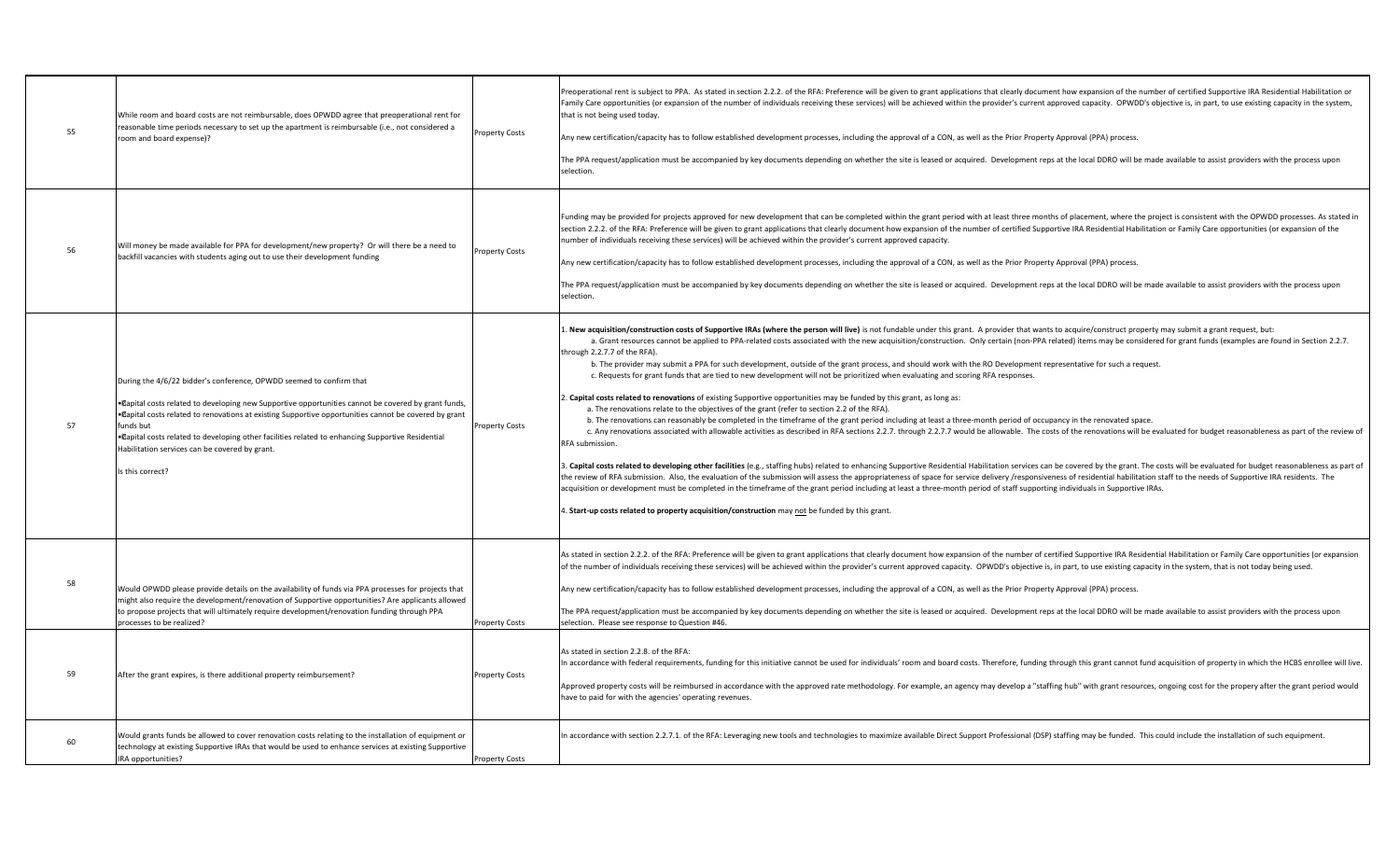| 55       | While room and board costs are not reimbursable, does OPWDD agree that preoperational rent for<br>reasonable time periods necessary to set up the apartment is reimbursable (i.e., not considered a<br>room and board expense)?                                                                                                                                                                                                                                                | <b>Property Costs</b>                          | Preoperational rent is subject to PPA. As stated in section 2.2.2. of the RFA: Preference will be given to grant applications that clearly document how expansion of the number of certified Supportive IRA Residential Habili<br>Family Care opportunities (or expansion of the number of individuals receiving these services) will be achieved within the provider's current approved capacity. OPWDD's objective is, in part, to use existing capacity in th<br>that is not being used today.<br>Any new certification/capacity has to follow established development processes, including the approval of a CON, as well as the Prior Property Approval (PPA) process.<br>The PPA request/application must be accompanied by key documents depending on whether the site is leased or acquired. Development reps at the local DDRO will be made available to assist providers with the process upon<br>selection.                                                                                                                                                                                                                                                                                                                                                                                                                                                                                                                                                                                                                                                                                                                                                                                                                                                                                                                                                                                                                                                                                                                                                                                                                                                                 |
|----------|--------------------------------------------------------------------------------------------------------------------------------------------------------------------------------------------------------------------------------------------------------------------------------------------------------------------------------------------------------------------------------------------------------------------------------------------------------------------------------|------------------------------------------------|----------------------------------------------------------------------------------------------------------------------------------------------------------------------------------------------------------------------------------------------------------------------------------------------------------------------------------------------------------------------------------------------------------------------------------------------------------------------------------------------------------------------------------------------------------------------------------------------------------------------------------------------------------------------------------------------------------------------------------------------------------------------------------------------------------------------------------------------------------------------------------------------------------------------------------------------------------------------------------------------------------------------------------------------------------------------------------------------------------------------------------------------------------------------------------------------------------------------------------------------------------------------------------------------------------------------------------------------------------------------------------------------------------------------------------------------------------------------------------------------------------------------------------------------------------------------------------------------------------------------------------------------------------------------------------------------------------------------------------------------------------------------------------------------------------------------------------------------------------------------------------------------------------------------------------------------------------------------------------------------------------------------------------------------------------------------------------------------------------------------------------------------------------------------------------------|
| 56       | Will money be made available for PPA for development/new property? Or will there be a need to<br>backfill vacancies with students aging out to use their development funding                                                                                                                                                                                                                                                                                                   | <b>Property Costs</b>                          | Funding may be provided for projects approved for new development that can be completed within the grant period with at least three months of placement, where the project is consistent with the OPWDD processes. As stated i<br>section 2.2.2. of the RFA: Preference will be given to grant applications that clearly document how expansion of the number of certified Supportive IRA Residential Habilitation or Family Care opportunities (or expansion of<br>number of individuals receiving these services) will be achieved within the provider's current approved capacity.<br>Any new certification/capacity has to follow established development processes, including the approval of a CON, as well as the Prior Property Approval (PPA) process.<br>The PPA request/application must be accompanied by key documents depending on whether the site is leased or acquired. Development reps at the local DDRO will be made available to assist providers with the process upon<br>selection.                                                                                                                                                                                                                                                                                                                                                                                                                                                                                                                                                                                                                                                                                                                                                                                                                                                                                                                                                                                                                                                                                                                                                                             |
| 57       | During the 4/6/22 bidder's conference, OPWDD seemed to confirm that<br>• Dapital costs related to developing new Supportive opportunities cannot be covered by grant funds,<br>• @apital costs related to renovations at existing Supportive opportunities cannot be covered by grant<br>funds but<br>• Capital costs related to developing other facilities related to enhancing Supportive Residential<br>Habilitation services can be covered by grant.<br>Is this correct? | Property Costs                                 | . New acquisition/construction costs of Supportive IRAs (where the person will live) is not fundable under this grant. A provider that wants to acquire/construct property may submit a grant request, but:<br>a. Grant resources cannot be applied to PPA-related costs associated with the new acquisition/construction. Only certain (non-PPA related) items may be considered for grant funds (examples are found in Section 2.2.7.<br>through 2.2.7.7 of the RFA).<br>b. The provider may submit a PPA for such development, outside of the grant process, and should work with the RO Development representative for such a request.<br>c. Requests for grant funds that are tied to new development will not be prioritized when evaluating and scoring RFA responses.<br>". Capital costs related to renovations of existing Supportive opportunities may be funded by this grant, as long as:<br>a. The renovations relate to the objectives of the grant (refer to section 2.2 of the RFA).<br>b. The renovations can reasonably be completed in the timeframe of the grant period including at least a three-month period of occupancy in the renovated space.<br>c. Any renovations associated with allowable activities as described in RFA sections 2.2.7. through 2.2.7.7 would be allowable. The costs of the renovations will be evaluated for budget reasonableness as part of the review<br>RFA submission.<br>3. Capital costs related to developing other facilities (e.g., staffing hubs) related to enhancing Supportive Residential Habilitation services can be covered by the grant. The costs will be evaluated for budget reasonable<br>the review of RFA submission. Also, the evaluation of the submission will assess the appropriateness of space for service delivery /responsiveness of residential habilitation staff to the needs of Supportive IRA residents.<br>acquisition or development must be completed in the timeframe of the grant period including at least a three-month period of staff supporting individuals in Supportive IRAs.<br>4. Start-up costs related to property acquisition/construction may not be funded by this grant. |
| 58<br>59 | Would OPWDD please provide details on the availability of funds via PPA processes for projects that<br>might also require the development/renovation of Supportive opportunities? Are applicants allowed<br>to propose projects that will ultimately require development/renovation funding through PPA<br>processes to be realized?<br>After the grant expires, is there additional property reimbursement?                                                                   | <b>Property Costs</b><br><b>Property Costs</b> | As stated in section 2.2.2. of the RFA: Preference will be given to grant applications that clearly document how expansion of the number of certified Supportive IRA Residential Habilitation or Family Care opportunities (or<br>of the number of individuals receiving these services) will be achieved within the provider's current approved capacity. OPWDD's objective is, in part, to use existing capacity in the system, that is not today being used.<br>Any new certification/capacity has to follow established development processes, including the approval of a CON, as well as the Prior Property Approval (PPA) process.<br>The PPA request/application must be accompanied by key documents depending on whether the site is leased or acquired. Development reps at the local DDRO will be made available to assist providers with the process upon<br>selection. Please see response to Question #46.<br>As stated in section 2.2.8. of the RFA:<br>In accordance with federal requirements, funding for this initiative cannot be used for individuals' room and board costs. Therefore, funding through this grant cannot fund acquisition of property in which the HCBS enrolle<br>Approved property costs will be reimbursed in accordance with the approved rate methodology. For example, an agency may develop a "staffing hub" with grant resources, ongoing cost for the propery after the grant period wou<br>have to paid for with the agencies' operating revenues.                                                                                                                                                                                                                                                                                                                                                                                                                                                                                                                                                                                                                                                                                    |
| 60       | Would grants funds be allowed to cover renovation costs relating to the installation of equipment or<br>technology at existing Supportive IRAs that would be used to enhance services at existing Supportive<br>IRA opportunities?                                                                                                                                                                                                                                             | <b>Property Costs</b>                          | In accordance with section 2.2.7.1. of the RFA: Leveraging new tools and technologies to maximize available Direct Support Professional (DSP) staffing may be funded. This could include the installation of such equipment.                                                                                                                                                                                                                                                                                                                                                                                                                                                                                                                                                                                                                                                                                                                                                                                                                                                                                                                                                                                                                                                                                                                                                                                                                                                                                                                                                                                                                                                                                                                                                                                                                                                                                                                                                                                                                                                                                                                                                           |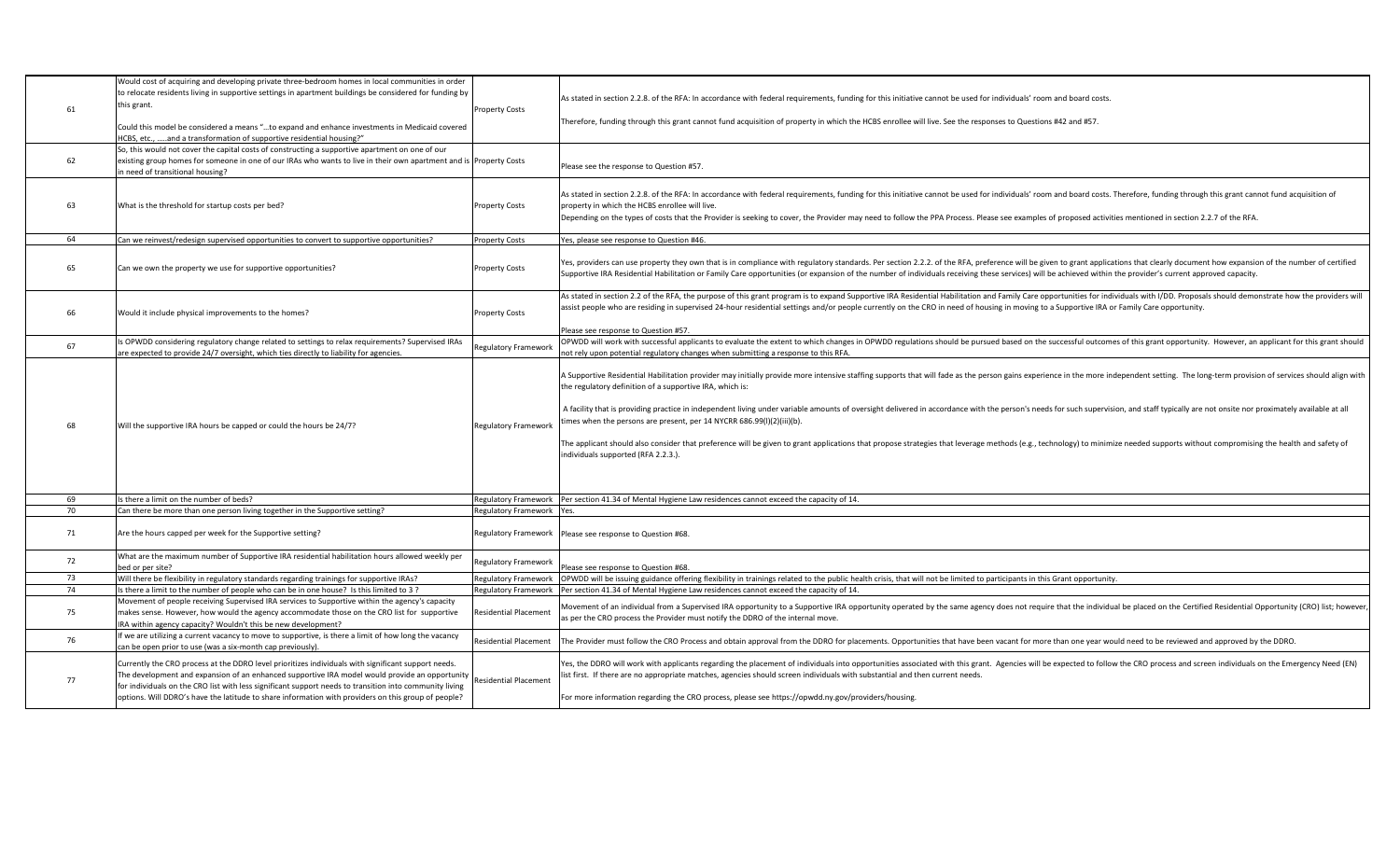| 61 | Would cost of acquiring and developing private three-bedroom homes in local communities in order<br>to relocate residents living in supportive settings in apartment buildings be considered for funding by<br>this grant.<br>Could this model be considered a means "to expand and enhance investments in Medicaid covered<br>HCBS, etc., and a transformation of supportive residential housing?"                     | Property Costs               | As stated in section 2.2.8. of the RFA: In accordance with federal requirements, funding for this initiative cannot be used for individuals' room and board costs.<br>Therefore, funding through this grant cannot fund acquisition of property in which the HCBS enrollee will live. See the responses to Questions #42 and #57.                                                                                                                                                                                                                                                                                                                                                                                                                                                                                                                                               |
|----|-------------------------------------------------------------------------------------------------------------------------------------------------------------------------------------------------------------------------------------------------------------------------------------------------------------------------------------------------------------------------------------------------------------------------|------------------------------|---------------------------------------------------------------------------------------------------------------------------------------------------------------------------------------------------------------------------------------------------------------------------------------------------------------------------------------------------------------------------------------------------------------------------------------------------------------------------------------------------------------------------------------------------------------------------------------------------------------------------------------------------------------------------------------------------------------------------------------------------------------------------------------------------------------------------------------------------------------------------------|
| 62 | So, this would not cover the capital costs of constructing a supportive apartment on one of our<br>existing group homes for someone in one of our IRAs who wants to live in their own apartment and is Property Costs<br>n need of transitional housing?                                                                                                                                                                |                              | Please see the response to Question #57.                                                                                                                                                                                                                                                                                                                                                                                                                                                                                                                                                                                                                                                                                                                                                                                                                                        |
| 63 | What is the threshold for startup costs per bed?                                                                                                                                                                                                                                                                                                                                                                        | <b>Property Costs</b>        | As stated in section 2.2.8. of the RFA: In accordance with federal requirements, funding for this initiative cannot be used for individuals' room and board costs. Therefore, funding through this grant cannot fund acquisiti<br>property in which the HCBS enrollee will live.<br>Depending on the types of costs that the Provider is seeking to cover, the Provider may need to follow the PPA Process. Please see examples of proposed activities mentioned in section 2.2.7 of the RFA.                                                                                                                                                                                                                                                                                                                                                                                   |
| 64 | Can we reinvest/redesign supervised opportunities to convert to supportive opportunities?                                                                                                                                                                                                                                                                                                                               | <b>Property Costs</b>        | Yes, please see response to Question #46.                                                                                                                                                                                                                                                                                                                                                                                                                                                                                                                                                                                                                                                                                                                                                                                                                                       |
| 65 | Can we own the property we use for supportive opportunities?                                                                                                                                                                                                                                                                                                                                                            | Property Costs               | Yes, providers can use property they own that is in compliance with regulatory standards. Per section 2.2.2. of the RFA, preference will be given to grant applications that clearly document how expansion of the number of c<br>Supportive IRA Residential Habilitation or Family Care opportunities (or expansion of the number of individuals receiving these services) will be achieved within the provider's current approved capacity.                                                                                                                                                                                                                                                                                                                                                                                                                                   |
| 66 | Would it include physical improvements to the homes?                                                                                                                                                                                                                                                                                                                                                                    | <b>Property Costs</b>        | As stated in section 2.2 of the RFA, the purpose of this grant program is to expand Supportive IRA Residential Habilitation and Family Care opportunities for individuals with I/DD. Proposals should demonstrate how the prov<br>assist people who are residing in supervised 24-hour residential settings and/or people currently on the CRO in need of housing in moving to a Supportive IRA or Family Care opportunity.<br>Please see response to Question #57.                                                                                                                                                                                                                                                                                                                                                                                                             |
| 67 | s OPWDD considering regulatory change related to settings to relax requirements? Supervised IRAs<br>are expected to provide 24/7 oversight, which ties directly to liability for agencies.                                                                                                                                                                                                                              | <b>Regulatory Framework</b>  | OPWDD will work with successful applicants to evaluate the extent to which changes in OPWDD regulations should be pursued based on the successful outcomes of this grant opportunity. However, an applicant for this grant sho<br>not rely upon potential regulatory changes when submitting a response to this RFA.                                                                                                                                                                                                                                                                                                                                                                                                                                                                                                                                                            |
| 68 | Will the supportive IRA hours be capped or could the hours be 24/7?                                                                                                                                                                                                                                                                                                                                                     | <b>Regulatory Framework</b>  | A Supportive Residential Habilitation provider may initially provide more intensive staffing supports that will fade as the person gains experience in the more independent setting. The long-term provision of services shoul<br>the regulatory definition of a supportive IRA, which is:<br>A facility that is providing practice in independent living under variable amounts of oversight delivered in accordance with the person's needs for such supervision, and staff typically are not onsite nor proximately avail<br>times when the persons are present, per 14 NYCRR 686.99(I)(2)(iii)(b).<br>The applicant should also consider that preference will be given to grant applications that propose strategies that leverage methods (e.g., technology) to minimize needed supports without compromising the health and safety<br>individuals supported (RFA 2.2.3.). |
| 69 | s there a limit on the number of beds?                                                                                                                                                                                                                                                                                                                                                                                  | Regulatory Framework         | Per section 41.34 of Mental Hygiene Law residences cannot exceed the capacity of 14.                                                                                                                                                                                                                                                                                                                                                                                                                                                                                                                                                                                                                                                                                                                                                                                            |
| 70 | Can there be more than one person living together in the Supportive setting?                                                                                                                                                                                                                                                                                                                                            | Regulatory Framework Yes.    |                                                                                                                                                                                                                                                                                                                                                                                                                                                                                                                                                                                                                                                                                                                                                                                                                                                                                 |
| 71 | Are the hours capped per week for the Supportive setting?                                                                                                                                                                                                                                                                                                                                                               |                              | Regulatory Framework Please see response to Question #68.                                                                                                                                                                                                                                                                                                                                                                                                                                                                                                                                                                                                                                                                                                                                                                                                                       |
| 72 | What are the maximum number of Supportive IRA residential habilitation hours allowed weekly per<br>bed or per site?                                                                                                                                                                                                                                                                                                     | Regulatory Framework         | Please see response to Question #68.                                                                                                                                                                                                                                                                                                                                                                                                                                                                                                                                                                                                                                                                                                                                                                                                                                            |
| 73 | Will there be flexibility in regulatory standards regarding trainings for supportive IRAs?                                                                                                                                                                                                                                                                                                                              | Regulatory Framework         | OPWDD will be issuing guidance offering flexibility in trainings related to the public health crisis, that will not be limited to participants in this Grant opportunity.                                                                                                                                                                                                                                                                                                                                                                                                                                                                                                                                                                                                                                                                                                       |
| 74 | Is there a limit to the number of people who can be in one house? Is this limited to 3?                                                                                                                                                                                                                                                                                                                                 |                              | Regulatory Framework Per section 41.34 of Mental Hygiene Law residences cannot exceed the capacity of 14.                                                                                                                                                                                                                                                                                                                                                                                                                                                                                                                                                                                                                                                                                                                                                                       |
| 75 | Movement of people receiving Supervised IRA services to Supportive within the agency's capacity<br>makes sense. However, how would the agency accommodate those on the CRO list for supportive<br>IRA within agency capacity? Wouldn't this be new development?                                                                                                                                                         | <b>Residential Placement</b> | Movement of an individual from a Supervised IRA opportunity to a Supportive IRA opportunity operated by the same agency does not require that the individual be placed on the Certified Residential Opportunity (CRO) list; ho<br>as per the CRO process the Provider must notify the DDRO of the internal move.                                                                                                                                                                                                                                                                                                                                                                                                                                                                                                                                                                |
| 76 | If we are utilizing a current vacancy to move to supportive, is there a limit of how long the vacancy<br>can be open prior to use (was a six-month cap previously).                                                                                                                                                                                                                                                     | <b>Residential Placement</b> | The Provider must follow the CRO Process and obtain approval from the DDRO for placements. Opportunities that have been vacant for more than one year would need to be reviewed and approved by the DDRO.                                                                                                                                                                                                                                                                                                                                                                                                                                                                                                                                                                                                                                                                       |
| 77 | Currently the CRO process at the DDRO level prioritizes individuals with significant support needs.<br>The development and expansion of an enhanced supportive IRA model would provide an opportunity<br>for individuals on the CRO list with less significant support needs to transition into community living<br>options. Will DDRO's have the latitude to share information with providers on this group of people? | <b>Residential Placement</b> | Yes, the DDRO will work with applicants regarding the placement of individuals into opportunities associated with this grant. Agencies will be expected to follow the CRO process and screen individuals on the Emergency Need<br>list first. If there are no appropriate matches, agencies should screen individuals with substantial and then current needs.<br>For more information regarding the CRO process, please see https://opwdd.ny.gov/providers/housing.                                                                                                                                                                                                                                                                                                                                                                                                            |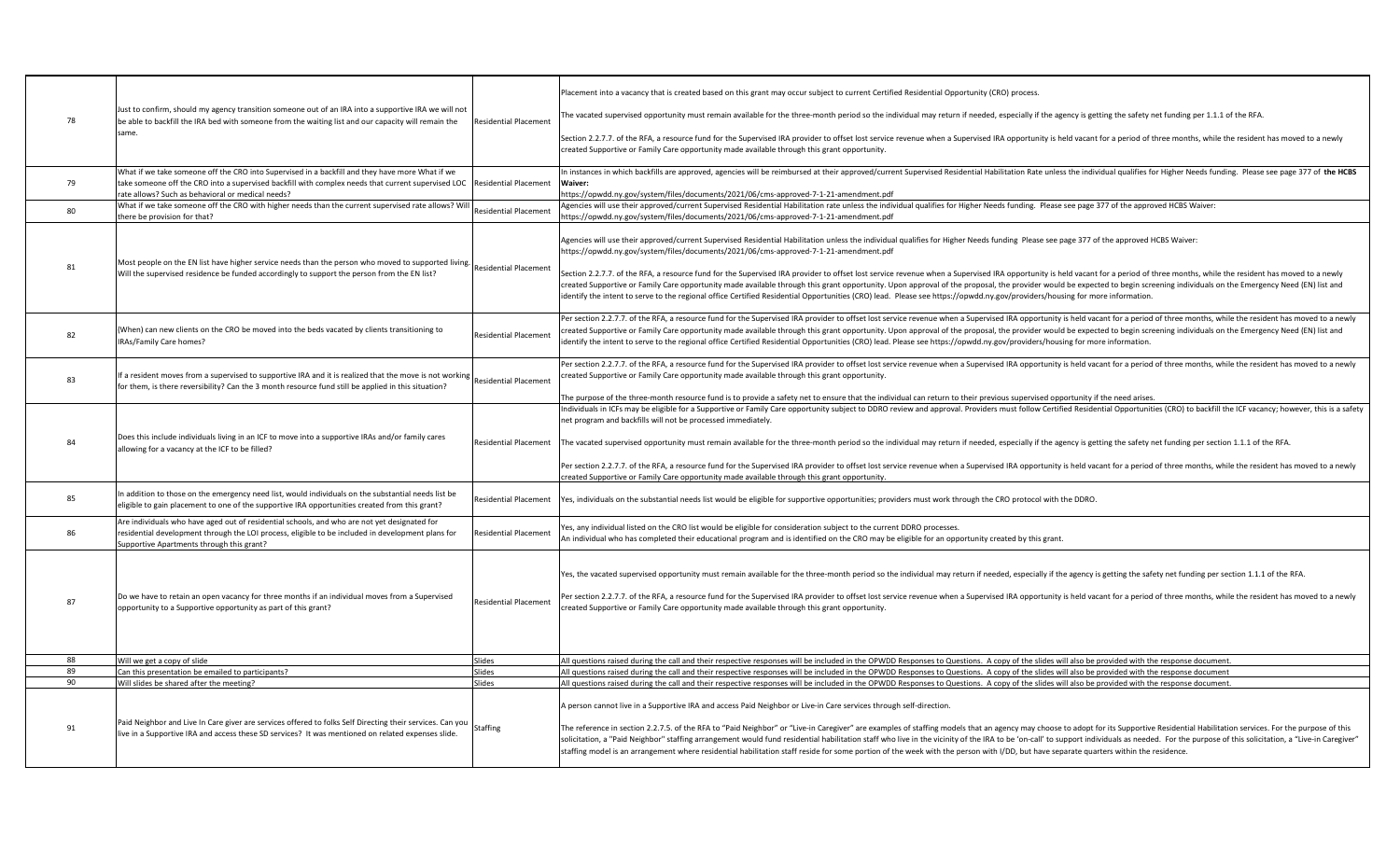|    |                                                                                                                                                                                                                                               |                              | Placement into a vacancy that is created based on this grant may occur subject to current Certified Residential Opportunity (CRO) process.                                                                                                                                                                                                                                                                                                                                                                                                                                                                                                     |
|----|-----------------------------------------------------------------------------------------------------------------------------------------------------------------------------------------------------------------------------------------------|------------------------------|------------------------------------------------------------------------------------------------------------------------------------------------------------------------------------------------------------------------------------------------------------------------------------------------------------------------------------------------------------------------------------------------------------------------------------------------------------------------------------------------------------------------------------------------------------------------------------------------------------------------------------------------|
| 78 | Just to confirm, should my agency transition someone out of an IRA into a supportive IRA we will not<br>be able to backfill the IRA bed with someone from the waiting list and our capacity will remain the                                   | <b>Residential Placement</b> | The vacated supervised opportunity must remain available for the three-month period so the individual may return if needed, especially if the agency is getting the safety net funding per 1.1.1 of the RFA.                                                                                                                                                                                                                                                                                                                                                                                                                                   |
|    | same.                                                                                                                                                                                                                                         |                              | Section 2.2.7.7. of the RFA, a resource fund for the Supervised IRA provider to offset lost service revenue when a Supervised IRA opportunity is held vacant for a period of three months, while the resident has moved to a n<br>created Supportive or Family Care opportunity made available through this grant opportunity.                                                                                                                                                                                                                                                                                                                 |
| 79 | What if we take someone off the CRO into Supervised in a backfill and they have more What if we<br>take someone off the CRO into a supervised backfill with complex needs that current supervised LOC Residential Placement                   |                              | In instances in which backfills are approved, agencies will be reimbursed at their approved/current Supervised Residential Habilitation Rate unless the individual qualifies for Higher Needs funding. Please see page 377 of<br>Waiver:                                                                                                                                                                                                                                                                                                                                                                                                       |
|    | rate allows? Such as behavioral or medical needs?                                                                                                                                                                                             |                              | https://opwdd.nv.gov/system/files/documents/2021/06/cms-approved-7-1-21-amendment.pdf                                                                                                                                                                                                                                                                                                                                                                                                                                                                                                                                                          |
| 80 | What if we take someone off the CRO with higher needs than the current supervised rate allows? Wil<br>there be provision for that?                                                                                                            | <b>Residential Placement</b> | Agencies will use their approved/current Supervised Residential Habilitation rate unless the individual qualifies for Higher Needs funding. Please see page 377 of the approved HCBS Waiver:<br>https://opwdd.ny.gov/system/files/documents/2021/06/cms-approved-7-1-21-amendment.pdf                                                                                                                                                                                                                                                                                                                                                          |
|    | Most people on the EN list have higher service needs than the person who moved to supported living.                                                                                                                                           |                              | Agencies will use their approved/current Supervised Residential Habilitation unless the individual qualifies for Higher Needs funding Please see page 377 of the approved HCBS Waiver:<br>https://opwdd.ny.gov/system/files/documents/2021/06/cms-approved-7-1-21-amendment.pdf                                                                                                                                                                                                                                                                                                                                                                |
| 81 | Will the supervised residence be funded accordingly to support the person from the EN list?                                                                                                                                                   | <b>Residential Placement</b> | Section 2.2.7.7. of the RFA, a resource fund for the Supervised IRA provider to offset lost service revenue when a Supervised IRA opportunity is held vacant for a period of three months, while the resident has moved to a n<br>created Supportive or Family Care opportunity made available through this grant opportunity. Upon approval of the proposal, the provider would be expected to begin screening individuals on the Emergency Need (EN) list and<br>identify the intent to serve to the regional office Certified Residential Opportunities (CRO) lead. Please see https://opwdd.ny.gov/providers/housing for more information. |
| 82 | (When) can new clients on the CRO be moved into the beds vacated by clients transitioning to<br>IRAs/Family Care homes?                                                                                                                       | <b>Residential Placement</b> | Per section 2.2.7.7. of the RFA, a resource fund for the Supervised IRA provider to offset lost service revenue when a Supervised IRA opportunity is held vacant for a period of three months, while the resident has moved to<br>created Supportive or Family Care opportunity made available through this grant opportunity. Upon approval of the proposal, the provider would be expected to begin screening individuals on the Emergency Need (EN) list and<br>identify the intent to serve to the regional office Certified Residential Opportunities (CRO) lead. Please see https://opwdd.ny.gov/providers/housing for more information. |
| 83 | If a resident moves from a supervised to supportive IRA and it is realized that the move is not working<br>for them, is there reversibility? Can the 3 month resource fund still be applied in this situation?                                | <b>Residential Placement</b> | Per section 2.2.7.7. of the RFA, a resource fund for the Supervised IRA provider to offset lost service revenue when a Supervised IRA opportunity is held vacant for a period of three months, while the resident has moved to<br>created Supportive or Family Care opportunity made available through this grant opportunity.                                                                                                                                                                                                                                                                                                                 |
|    |                                                                                                                                                                                                                                               |                              | The purpose of the three-month resource fund is to provide a safety net to ensure that the individual can return to their previous supervised opportunity if the need arises.<br>Individuals in ICFs may be eligible for a Supportive or Family Care opportunity subject to DDRO review and approval. Providers must follow Certified Residential Opportunities (CRO) to backfill the ICF vacancy; however, thi                                                                                                                                                                                                                                |
|    |                                                                                                                                                                                                                                               |                              | net program and backfills will not be processed immediately.                                                                                                                                                                                                                                                                                                                                                                                                                                                                                                                                                                                   |
| 84 | Does this include individuals living in an ICF to move into a supportive IRAs and/or family cares<br>allowing for a vacancy at the ICF to be filled?                                                                                          | <b>Residential Placement</b> | The vacated supervised opportunity must remain available for the three-month period so the individual may return if needed, especially if the agency is getting the safety net funding per section 1.1.1 of the RFA.                                                                                                                                                                                                                                                                                                                                                                                                                           |
|    |                                                                                                                                                                                                                                               |                              | Per section 2.2.7.7. of the RFA, a resource fund for the Supervised IRA provider to offset lost service revenue when a Supervised IRA opportunity is held vacant for a period of three months, while the resident has moved to<br>created Supportive or Family Care opportunity made available through this grant opportunity.                                                                                                                                                                                                                                                                                                                 |
| 85 | In addition to those on the emergency need list, would individuals on the substantial needs list be<br>eligible to gain placement to one of the supportive IRA opportunities created from this grant?                                         | <b>Residential Placement</b> | Yes, individuals on the substantial needs list would be eligible for supportive opportunities; providers must work through the CRO protocol with the DDRO.                                                                                                                                                                                                                                                                                                                                                                                                                                                                                     |
| 86 | Are individuals who have aged out of residential schools, and who are not yet designated for<br>residential development through the LOI process, eligible to be included in development plans for<br>upportive Apartments through this grant? | <b>Residential Placement</b> | Yes, any individual listed on the CRO list would be eligible for consideration subject to the current DDRO processes.<br>An individual who has completed their educational program and is identified on the CRO may be eligible for an opportunity created by this grant.                                                                                                                                                                                                                                                                                                                                                                      |
|    |                                                                                                                                                                                                                                               |                              |                                                                                                                                                                                                                                                                                                                                                                                                                                                                                                                                                                                                                                                |
|    |                                                                                                                                                                                                                                               |                              | Yes, the vacated supervised opportunity must remain available for the three-month period so the individual may return if needed, especially if the agency is getting the safety net funding per section 1.1.1 of the RFA.                                                                                                                                                                                                                                                                                                                                                                                                                      |
| 87 | Do we have to retain an open vacancy for three months if an individual moves from a Supervised<br>opportunity to a Supportive opportunity as part of this grant?                                                                              | <b>Residential Placement</b> | Per section 2.2.7.7. of the RFA, a resource fund for the Supervised IRA provider to offset lost service revenue when a Supervised IRA opportunity is held vacant for a period of three months, while the resident has moved to<br>created Supportive or Family Care opportunity made available through this grant opportunity.                                                                                                                                                                                                                                                                                                                 |
|    |                                                                                                                                                                                                                                               |                              |                                                                                                                                                                                                                                                                                                                                                                                                                                                                                                                                                                                                                                                |
| 88 | Will we get a copy of slide                                                                                                                                                                                                                   | Slides                       | All questions raised during the call and their respective responses will be included in the OPWDD Responses to Questions. A copy of the slides will also be provided with the response document.                                                                                                                                                                                                                                                                                                                                                                                                                                               |
| 89 | Can this presentation be emailed to participants?                                                                                                                                                                                             | Slides                       | All questions raised during the call and their respective responses will be included in the OPWDD Responses to Questions. A copy of the slides will also be provided with the response document                                                                                                                                                                                                                                                                                                                                                                                                                                                |
| 90 | Will slides be shared after the meeting?                                                                                                                                                                                                      | Slides                       | All questions raised during the call and their respective responses will be included in the OPWDD Responses to Questions. A copy of the slides will also be provided with the response document.                                                                                                                                                                                                                                                                                                                                                                                                                                               |
| 91 | Paid Neighbor and Live In Care giver are services offered to folks Self Directing their services. Can you                                                                                                                                     | Staffing                     | A person cannot live in a Supportive IRA and access Paid Neighbor or Live-in Care services through self-direction.<br>The reference in section 2.2.7.5. of the RFA to "Paid Neighbor" or "Live-in Caregiver" are examples of staffing models that an agency may choose to adopt for its Supportive Residential Habilitation services. For the purpos                                                                                                                                                                                                                                                                                           |
|    | live in a Supportive IRA and access these SD services? It was mentioned on related expenses slide.                                                                                                                                            |                              | solicitation, a "Paid Neighbor" staffing arrangement would fund residential habilitation staff who live in the vicinity of the IRA to be 'on-call' to support individuals as needed. For the purpose of this solicitation, a "<br>staffing model is an arrangement where residential habilitation staff reside for some portion of the week with the person with I/DD, but have separate quarters within the residence.                                                                                                                                                                                                                        |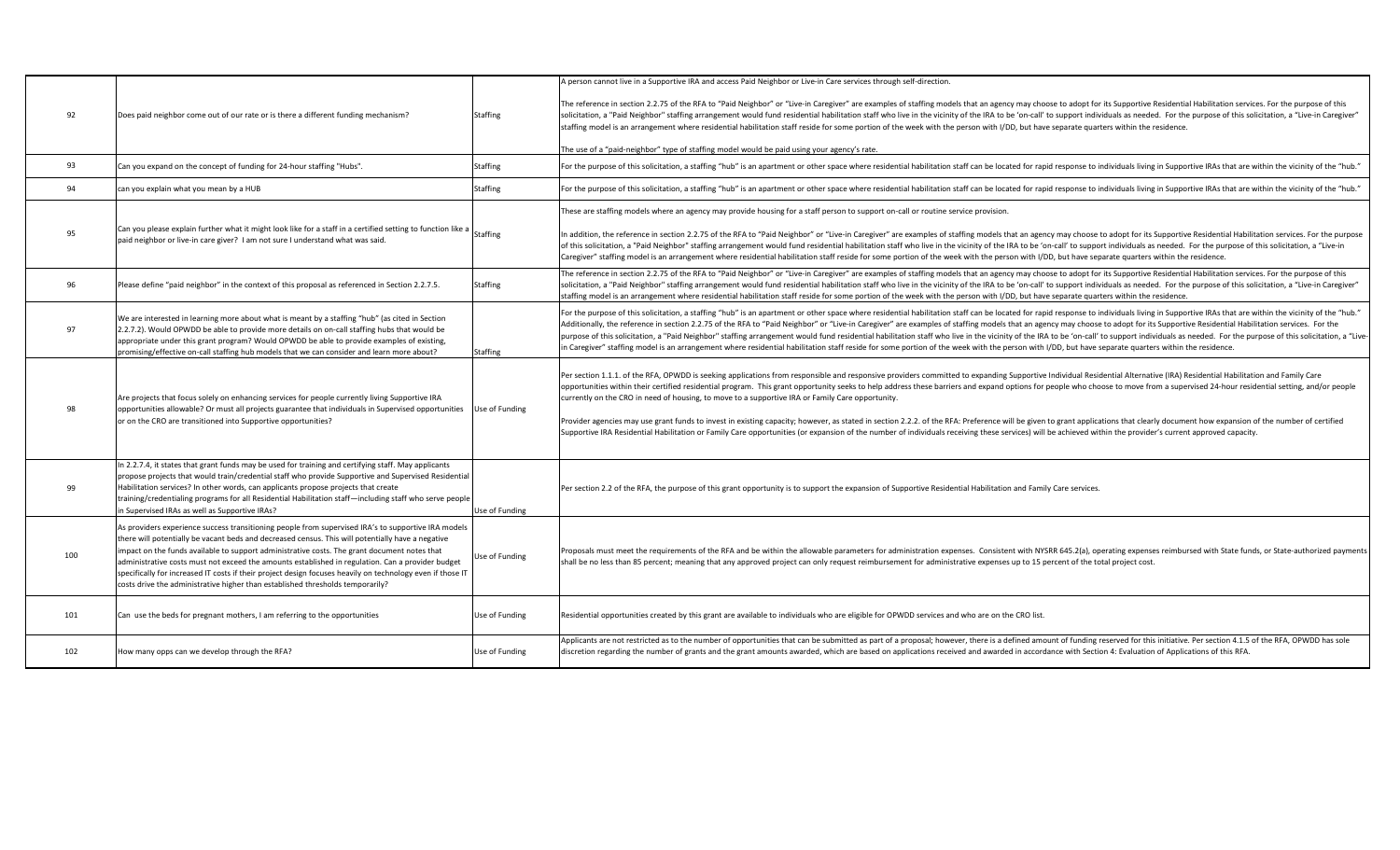| 92  | Does paid neighbor come out of our rate or is there a different funding mechanism?                                                                                                                                                                                                                                                                                                                                                                                                                                                                                                                            | <b>Staffing</b> | A person cannot live in a Supportive IRA and access Paid Neighbor or Live-in Care services through self-direction.<br>The reference in section 2.2.75 of the RFA to "Paid Neighbor" or "Live-in Caregiver" are examples of staffing models that an agency may choose to adopt for its Supportive Residential Habilitation services. For the purpose<br>solicitation, a "Paid Neighbor" staffing arrangement would fund residential habilitation staff who live in the vicinity of the IRA to be 'on-call' to support individuals as needed. For the purpose of this solicitation, a "<br>staffing model is an arrangement where residential habilitation staff reside for some portion of the week with the person with I/DD, but have separate quarters within the residence.<br>The use of a "paid-neighbor" type of staffing model would be paid using your agency's rate.                                                                                                                                     |
|-----|---------------------------------------------------------------------------------------------------------------------------------------------------------------------------------------------------------------------------------------------------------------------------------------------------------------------------------------------------------------------------------------------------------------------------------------------------------------------------------------------------------------------------------------------------------------------------------------------------------------|-----------------|-------------------------------------------------------------------------------------------------------------------------------------------------------------------------------------------------------------------------------------------------------------------------------------------------------------------------------------------------------------------------------------------------------------------------------------------------------------------------------------------------------------------------------------------------------------------------------------------------------------------------------------------------------------------------------------------------------------------------------------------------------------------------------------------------------------------------------------------------------------------------------------------------------------------------------------------------------------------------------------------------------------------|
| 93  | Can you expand on the concept of funding for 24-hour staffing "Hubs".                                                                                                                                                                                                                                                                                                                                                                                                                                                                                                                                         | Staffing        | For the purpose of this solicitation, a staffing "hub" is an apartment or other space where residential habilitation staff can be located for rapid response to individuals living in Supportive IRAs that are within the vici                                                                                                                                                                                                                                                                                                                                                                                                                                                                                                                                                                                                                                                                                                                                                                                    |
| 94  | can you explain what you mean by a HUB                                                                                                                                                                                                                                                                                                                                                                                                                                                                                                                                                                        | Staffing        | For the purpose of this solicitation, a staffing "hub" is an apartment or other space where residential habilitation staff can be located for rapid response to individuals living in Supportive IRAs that are within the vici                                                                                                                                                                                                                                                                                                                                                                                                                                                                                                                                                                                                                                                                                                                                                                                    |
| 95  | Can you please explain further what it might look like for a staff in a certified setting to function like a Staffing<br>paid neighbor or live-in care giver? I am not sure I understand what was said.                                                                                                                                                                                                                                                                                                                                                                                                       |                 | These are staffing models where an agency may provide housing for a staff person to support on-call or routine service provision.<br>In addition, the reference in section 2.2.75 of the RFA to "Paid Neighbor" or "Live-in Caregiver" are examples of staffing models that an agency may choose to adopt for its Supportive Residential Habilitation services. For<br>of this solicitation, a "Paid Neighbor" staffing arrangement would fund residential habilitation staff who live in the vicinity of the IRA to be 'on-call' to support individuals as needed. For the purpose of this solicitat<br>Caregiver" staffing model is an arrangement where residential habilitation staff reside for some portion of the week with the person with I/DD, but have separate quarters within the residence.                                                                                                                                                                                                         |
| 96  | Please define "paid neighbor" in the context of this proposal as referenced in Section 2.2.7.5.                                                                                                                                                                                                                                                                                                                                                                                                                                                                                                               | <b>Staffing</b> | The reference in section 2.2.75 of the RFA to "Paid Neighbor" or "Live-in Caregiver" are examples of staffing models that an agency may choose to adopt for its Supportive Residential Habilitation services. For the purpose<br>solicitation, a "Paid Neighbor" staffing arrangement would fund residential habilitation staff who live in the vicinity of the IRA to be 'on-call' to support individuals as needed. For the purpose of this solicitation, a "<br>staffing model is an arrangement where residential habilitation staff reside for some portion of the week with the person with I/DD, but have separate quarters within the residence.                                                                                                                                                                                                                                                                                                                                                          |
| 97  | We are interested in learning more about what is meant by a staffing "hub" (as cited in Section<br>2.2.7.2). Would OPWDD be able to provide more details on on-call staffing hubs that would be<br>appropriate under this grant program? Would OPWDD be able to provide examples of existing,<br>promising/effective on-call staffing hub models that we can consider and learn more about?                                                                                                                                                                                                                   | Staffing        | For the purpose of this solicitation, a staffing "hub" is an apartment or other space where residential habilitation staff can be located for rapid response to individuals living in Supportive IRAs that are within the vici<br>Additionally, the reference in section 2.2.75 of the RFA to "Paid Neighbor" or "Live-in Caregiver" are examples of staffing models that an agency may choose to adopt for its Supportive Residential Habilitation services. Fo<br>purpose of this solicitation, a "Paid Neighbor" staffing arrangement would fund residential habilitation staff who live in the vicinity of the IRA to be 'on-call' to support individuals as needed. For the purpose of this s<br>in Caregiver" staffing model is an arrangement where residential habilitation staff reside for some portion of the week with the person with I/DD, but have separate quarters within the residence.                                                                                                         |
| 98  | Are projects that focus solely on enhancing services for people currently living Supportive IRA<br>opportunities allowable? Or must all projects guarantee that individuals in Supervised opportunities<br>or on the CRO are transitioned into Supportive opportunities?                                                                                                                                                                                                                                                                                                                                      | Use of Funding  | Per section 1.1.1. of the RFA, OPWDD is seeking applications from responsible and responsive providers committed to expanding Supportive Individual Residential Alternative (IRA) Residential Habilitation and Family Care<br>opportunities within their certified residential program. This grant opportunity seeks to help address these barriers and expand options for people who choose to move from a supervised 24-hour residential setting, and/or p<br>currently on the CRO in need of housing, to move to a supportive IRA or Family Care opportunity.<br>Provider agencies may use grant funds to invest in existing capacity; however, as stated in section 2.2.2. of the RFA: Preference will be given to grant applications that clearly document how expansion of the number of cer<br>Supportive IRA Residential Habilitation or Family Care opportunities (or expansion of the number of individuals receiving these services) will be achieved within the provider's current approved capacity. |
| 99  | In 2.2.7.4, it states that grant funds may be used for training and certifying staff. May applicants<br>propose projects that would train/credential staff who provide Supportive and Supervised Residential<br>Habilitation services? In other words, can applicants propose projects that create<br>training/credentialing programs for all Residential Habilitation staff—including staff who serve people<br>n Supervised IRAs as well as Supportive IRAs?                                                                                                                                                | Use of Funding  | Per section 2.2 of the RFA, the purpose of this grant opportunity is to support the expansion of Supportive Residential Habilitation and Family Care services.                                                                                                                                                                                                                                                                                                                                                                                                                                                                                                                                                                                                                                                                                                                                                                                                                                                    |
| 100 | As providers experience success transitioning people from supervised IRA's to supportive IRA models<br>there will potentially be vacant beds and decreased census. This will potentially have a negative<br>impact on the funds available to support administrative costs. The grant document notes that<br>administrative costs must not exceed the amounts established in regulation. Can a provider budget<br>specifically for increased IT costs if their project design focuses heavily on technology even if those IT<br>costs drive the administrative higher than established thresholds temporarily? | Use of Funding  | Proposals must meet the requirements of the RFA and be within the allowable parameters for administration expenses. Consistent with NYSRR 645.2(a), operating expenses reimbursed with State funds, or State-authorized paymen<br>shall be no less than 85 percent; meaning that any approved project can only request reimbursement for administrative expenses up to 15 percent of the total project cost.                                                                                                                                                                                                                                                                                                                                                                                                                                                                                                                                                                                                      |
| 101 | Can use the beds for pregnant mothers, I am referring to the opportunities                                                                                                                                                                                                                                                                                                                                                                                                                                                                                                                                    | Use of Funding  | Residential opportunities created by this grant are available to individuals who are eligible for OPWDD services and who are on the CRO list.                                                                                                                                                                                                                                                                                                                                                                                                                                                                                                                                                                                                                                                                                                                                                                                                                                                                     |
| 102 | How many opps can we develop through the RFA?                                                                                                                                                                                                                                                                                                                                                                                                                                                                                                                                                                 | Use of Funding  | Applicants are not restricted as to the number of opportunities that can be submitted as part of a proposal; however, there is a defined amount of funding reserved for this initiative. Per section 4.1.5 of the RFA, OPWDD h<br>discretion regarding the number of grants and the grant amounts awarded, which are based on applications received and awarded in accordance with Section 4: Evaluation of Applications of this RFA.                                                                                                                                                                                                                                                                                                                                                                                                                                                                                                                                                                             |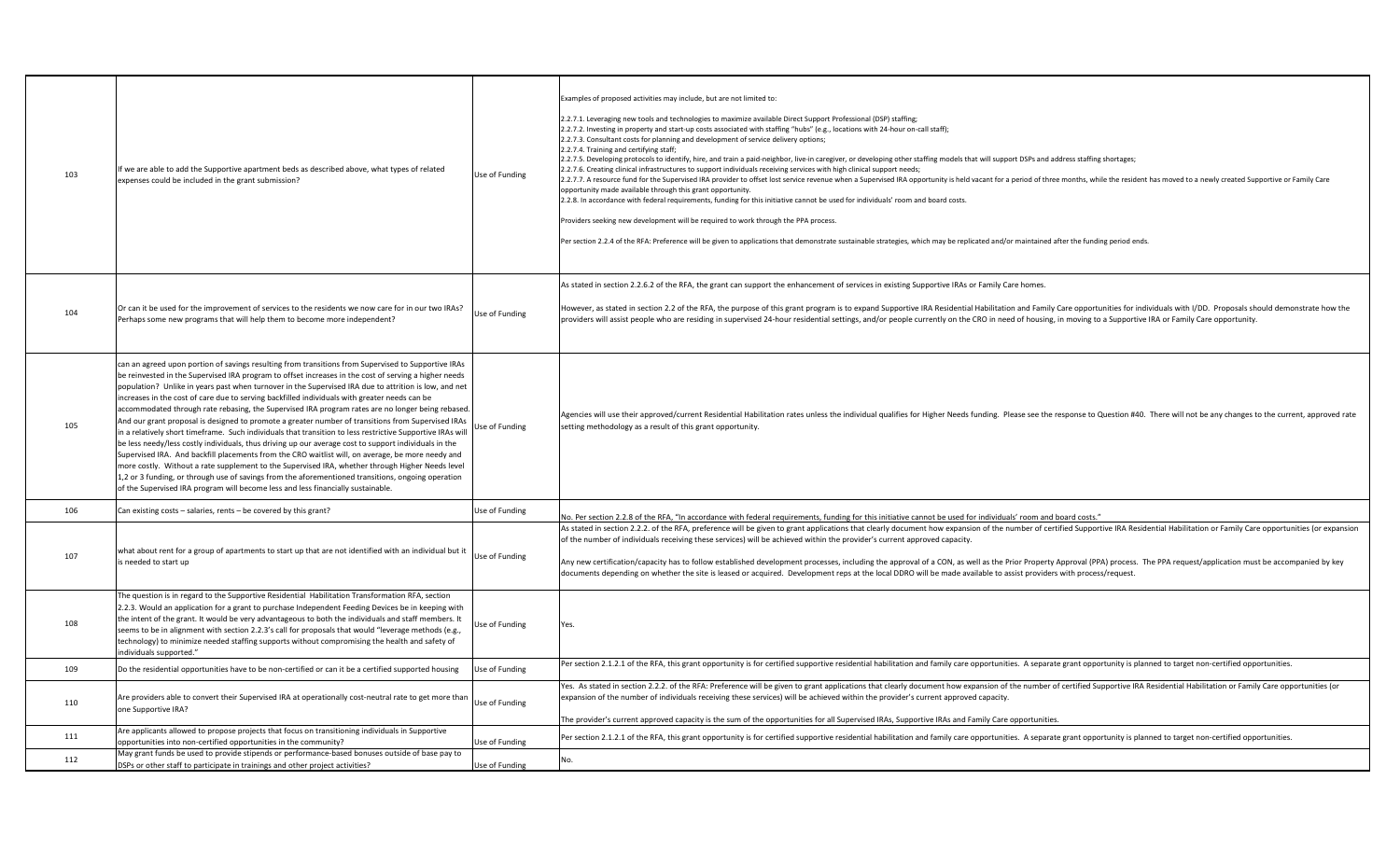| 103 | If we are able to add the Supportive apartment beds as described above, what types of related<br>expenses could be included in the grant submission?                                                                                                                                                                                                                                                                                                                                                                                                                                                                                                                                                                                                                                                                                                                                                                                                                                                                                                                                                                                                                                                                                                        | Use of Funding | Examples of proposed activities may include, but are not limited to:<br>2.2.7.1. Leveraging new tools and technologies to maximize available Direct Support Professional (DSP) staffing;<br>2.2.7.2. Investing in property and start-up costs associated with staffing "hubs" (e.g., locations with 24-hour on-call staff);<br>2.2.7.3. Consultant costs for planning and development of service delivery options;<br>2.2.7.4. Training and certifying staff;<br>2.2.7.5. Developing protocols to identify, hire, and train a paid-neighbor, live-in caregiver, or developing other staffing models that will support DSPs and address staffing shortages;<br>2.2.7.6. Creating clinical infrastructures to support individuals receiving services with high clinical support needs;<br>2.2.7.7. A resource fund for the Supervised IRA provider to offset lost service revenue when a Supervised IRA opportunity is held vacant for a period of three months, while the resident has moved to a newly created Support<br>opportunity made available through this grant opportunity.<br>2.2.8. In accordance with federal requirements, funding for this initiative cannot be used for individuals' room and board costs.<br>Providers seeking new development will be required to work through the PPA process.<br>Per section 2.2.4 of the RFA: Preference will be given to applications that demonstrate sustainable strategies, which may be replicated and/or maintained after the funding period ends. |
|-----|-------------------------------------------------------------------------------------------------------------------------------------------------------------------------------------------------------------------------------------------------------------------------------------------------------------------------------------------------------------------------------------------------------------------------------------------------------------------------------------------------------------------------------------------------------------------------------------------------------------------------------------------------------------------------------------------------------------------------------------------------------------------------------------------------------------------------------------------------------------------------------------------------------------------------------------------------------------------------------------------------------------------------------------------------------------------------------------------------------------------------------------------------------------------------------------------------------------------------------------------------------------|----------------|--------------------------------------------------------------------------------------------------------------------------------------------------------------------------------------------------------------------------------------------------------------------------------------------------------------------------------------------------------------------------------------------------------------------------------------------------------------------------------------------------------------------------------------------------------------------------------------------------------------------------------------------------------------------------------------------------------------------------------------------------------------------------------------------------------------------------------------------------------------------------------------------------------------------------------------------------------------------------------------------------------------------------------------------------------------------------------------------------------------------------------------------------------------------------------------------------------------------------------------------------------------------------------------------------------------------------------------------------------------------------------------------------------------------------------------------------------------------------------------------------------------|
| 104 | Or can it be used for the improvement of services to the residents we now care for in our two IRAs?<br>Perhaps some new programs that will help them to become more independent?                                                                                                                                                                                                                                                                                                                                                                                                                                                                                                                                                                                                                                                                                                                                                                                                                                                                                                                                                                                                                                                                            | Use of Funding | As stated in section 2.2.6.2 of the RFA, the grant can support the enhancement of services in existing Supportive IRAs or Family Care homes.<br>However, as stated in section 2.2 of the RFA, the purpose of this grant program is to expand Supportive IRA Residential Habilitation and Family Care opportunities for individuals with I/DD. Proposals should demonstrate how<br>providers will assist people who are residing in supervised 24-hour residential settings, and/or people currently on the CRO in need of housing, in moving to a Supportive IRA or Family Care opportunity.                                                                                                                                                                                                                                                                                                                                                                                                                                                                                                                                                                                                                                                                                                                                                                                                                                                                                                                 |
| 105 | can an agreed upon portion of savings resulting from transitions from Supervised to Supportive IRAs<br>be reinvested in the Supervised IRA program to offset increases in the cost of serving a higher needs<br>population? Unlike in years past when turnover in the Supervised IRA due to attrition is low, and net<br>increases in the cost of care due to serving backfilled individuals with greater needs can be<br>accommodated through rate rebasing, the Supervised IRA program rates are no longer being rebased.<br>And our grant proposal is designed to promote a greater number of transitions from Supervised IRAs<br>in a relatively short timeframe. Such individuals that transition to less restrictive Supportive IRAs will<br>be less needy/less costly individuals, thus driving up our average cost to support individuals in the<br>Supervised IRA. And backfill placements from the CRO waitlist will, on average, be more needy and<br>more costly. Without a rate supplement to the Supervised IRA, whether through Higher Needs level<br>1,2 or 3 funding, or through use of savings from the aforementioned transitions, ongoing operation<br>of the Supervised IRA program will become less and less financially sustainable. | Use of Funding | Agencies will use their approved/current Residential Habilitation rates unless the individual qualifies for Higher Needs funding. Please see the response to Question #40. There will not be any changes to the current, appro<br>setting methodology as a result of this grant opportunity.                                                                                                                                                                                                                                                                                                                                                                                                                                                                                                                                                                                                                                                                                                                                                                                                                                                                                                                                                                                                                                                                                                                                                                                                                 |
| 106 | Can existing costs - salaries, rents - be covered by this grant?                                                                                                                                                                                                                                                                                                                                                                                                                                                                                                                                                                                                                                                                                                                                                                                                                                                                                                                                                                                                                                                                                                                                                                                            | Use of Funding | No. Per section 2.2.8 of the RFA, "In accordance with federal requirements, funding for this initiative cannot be used for individuals' room and board costs."                                                                                                                                                                                                                                                                                                                                                                                                                                                                                                                                                                                                                                                                                                                                                                                                                                                                                                                                                                                                                                                                                                                                                                                                                                                                                                                                               |
| 107 | what about rent for a group of apartments to start up that are not identified with an individual but it<br>is needed to start up                                                                                                                                                                                                                                                                                                                                                                                                                                                                                                                                                                                                                                                                                                                                                                                                                                                                                                                                                                                                                                                                                                                            | Use of Funding | As stated in section 2.2.2. of the RFA, preference will be given to grant applications that clearly document how expansion of the number of certified Supportive IRA Residential Habilitation or Family Care opportunities (or<br>of the number of individuals receiving these services) will be achieved within the provider's current approved capacity.<br>Any new certification/capacity has to follow established development processes, including the approval of a CON, as well as the Prior Property Approval (PPA) process. The PPA request/application must be accompanied by key<br>documents depending on whether the site is leased or acquired. Development reps at the local DDRO will be made available to assist providers with process/request.                                                                                                                                                                                                                                                                                                                                                                                                                                                                                                                                                                                                                                                                                                                                            |
| 108 | The question is in regard to the Supportive Residential Habilitation Transformation RFA, section<br>2.2.3. Would an application for a grant to purchase Independent Feeding Devices be in keeping with<br>the intent of the grant. It would be very advantageous to both the individuals and staff members. It<br>seems to be in alignment with section 2.2.3's call for proposals that would "leverage methods (e.g.,<br>technology) to minimize needed staffing supports without compromising the health and safety of<br>individuals supported."                                                                                                                                                                                                                                                                                                                                                                                                                                                                                                                                                                                                                                                                                                         | Use of Funding | Yes.                                                                                                                                                                                                                                                                                                                                                                                                                                                                                                                                                                                                                                                                                                                                                                                                                                                                                                                                                                                                                                                                                                                                                                                                                                                                                                                                                                                                                                                                                                         |
| 109 | Do the residential opportunities have to be non-certified or can it be a certified supported housing                                                                                                                                                                                                                                                                                                                                                                                                                                                                                                                                                                                                                                                                                                                                                                                                                                                                                                                                                                                                                                                                                                                                                        | Use of Funding | Per section 2.1.2.1 of the RFA, this grant opportunity is for certified supportive residential habilitation and family care opportunities. A separate grant opportunity is planned to target non-certified opportunities.                                                                                                                                                                                                                                                                                                                                                                                                                                                                                                                                                                                                                                                                                                                                                                                                                                                                                                                                                                                                                                                                                                                                                                                                                                                                                    |
| 110 | Are providers able to convert their Supervised IRA at operationally cost-neutral rate to get more than<br>one Supportive IRA?                                                                                                                                                                                                                                                                                                                                                                                                                                                                                                                                                                                                                                                                                                                                                                                                                                                                                                                                                                                                                                                                                                                               | Use of Funding | Yes. As stated in section 2.2.2. of the RFA: Preference will be given to grant applications that clearly document how expansion of the number of certified Supportive IRA Residential Habilitation or Family Care opportunitie<br>expansion of the number of individuals receiving these services) will be achieved within the provider's current approved capacity.<br>The provider's current approved capacity is the sum of the opportunities for all Supervised IRAs, Supportive IRAs and Family Care opportunities.                                                                                                                                                                                                                                                                                                                                                                                                                                                                                                                                                                                                                                                                                                                                                                                                                                                                                                                                                                                     |
| 111 | Are applicants allowed to propose projects that focus on transitioning individuals in Supportive<br>opportunities into non-certified opportunities in the community?                                                                                                                                                                                                                                                                                                                                                                                                                                                                                                                                                                                                                                                                                                                                                                                                                                                                                                                                                                                                                                                                                        | Use of Funding | Per section 2.1.2.1 of the RFA, this grant opportunity is for certified supportive residential habilitation and family care opportunities. A separate grant opportunity is planned to target non-certified opportunities.                                                                                                                                                                                                                                                                                                                                                                                                                                                                                                                                                                                                                                                                                                                                                                                                                                                                                                                                                                                                                                                                                                                                                                                                                                                                                    |
| 112 | May grant funds be used to provide stipends or performance-based bonuses outside of base pay to<br>DSPs or other staff to participate in trainings and other project activities?                                                                                                                                                                                                                                                                                                                                                                                                                                                                                                                                                                                                                                                                                                                                                                                                                                                                                                                                                                                                                                                                            | Use of Funding | No.                                                                                                                                                                                                                                                                                                                                                                                                                                                                                                                                                                                                                                                                                                                                                                                                                                                                                                                                                                                                                                                                                                                                                                                                                                                                                                                                                                                                                                                                                                          |